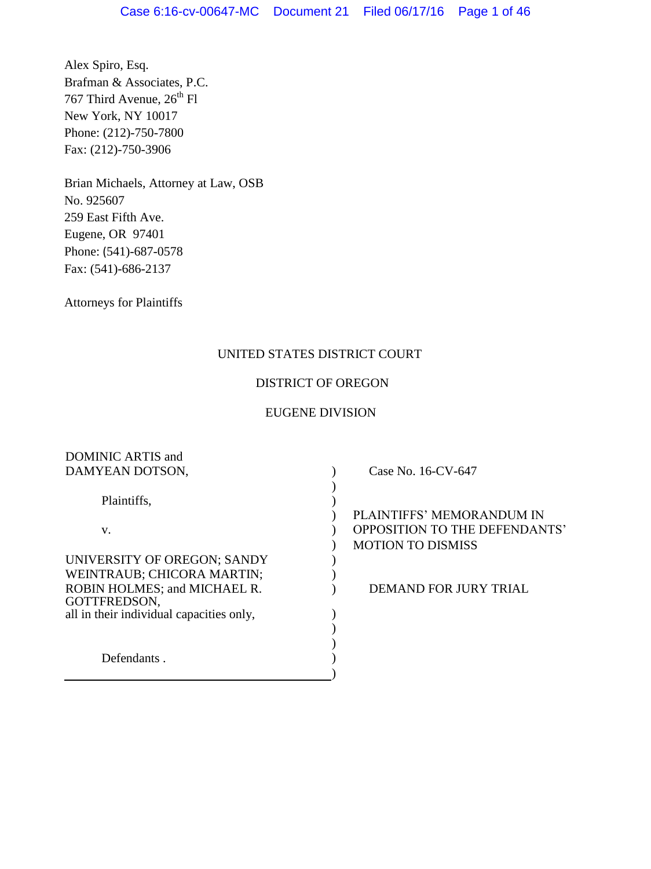Alex Spiro, Esq. Brafman & Associates, P.C. 767 Third Avenue, 26<sup>th</sup> Fl New York, NY 10017 Phone: (212)-750-7800 Fax: (212)-750-3906

Brian Michaels, Attorney at Law, OSB No. 925607 259 East Fifth Ave. Eugene, OR 97401 Phone: (541)-687-0578 Fax: (541)-686-2137

Attorneys for Plaintiffs

# UNITED STATES DISTRICT COURT

# DISTRICT OF OREGON

# EUGENE DIVISION

| <b>DOMINIC ARTIS and</b>                 |                                      |
|------------------------------------------|--------------------------------------|
| DAMYEAN DOTSON,                          | Case No. 16-CV-647                   |
|                                          |                                      |
| Plaintiffs,                              |                                      |
|                                          | PLAINTIFFS' MEMORANDUM IN            |
| V.                                       | <b>OPPOSITION TO THE DEFENDANTS'</b> |
|                                          | <b>MOTION TO DISMISS</b>             |
| UNIVERSITY OF OREGON; SANDY              |                                      |
| WEINTRAUB; CHICORA MARTIN;               |                                      |
| ROBIN HOLMES; and MICHAEL R.             | <b>DEMAND FOR JURY TRIAL</b>         |
| GOTTFREDSON,                             |                                      |
| all in their individual capacities only, |                                      |
|                                          |                                      |
|                                          |                                      |
| Defendants.                              |                                      |
|                                          |                                      |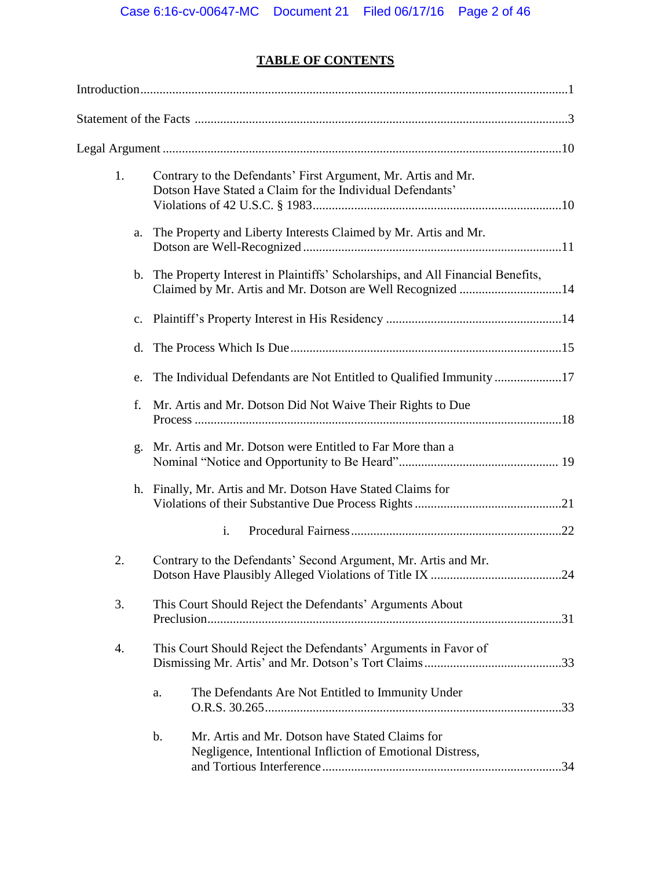# **TABLE OF CONTENTS**

| 1. | Contrary to the Defendants' First Argument, Mr. Artis and Mr.<br>Dotson Have Stated a Claim for the Individual Defendants'                      |
|----|-------------------------------------------------------------------------------------------------------------------------------------------------|
| a. | The Property and Liberty Interests Claimed by Mr. Artis and Mr.                                                                                 |
|    | b. The Property Interest in Plaintiffs' Scholarships, and All Financial Benefits,<br>Claimed by Mr. Artis and Mr. Dotson are Well Recognized 14 |
|    |                                                                                                                                                 |
| d. |                                                                                                                                                 |
| e. | The Individual Defendants are Not Entitled to Qualified Immunity17                                                                              |
| f. | Mr. Artis and Mr. Dotson Did Not Waive Their Rights to Due                                                                                      |
| g. | Mr. Artis and Mr. Dotson were Entitled to Far More than a                                                                                       |
|    | h. Finally, Mr. Artis and Mr. Dotson Have Stated Claims for                                                                                     |
|    | i.                                                                                                                                              |
| 2. | Contrary to the Defendants' Second Argument, Mr. Artis and Mr.                                                                                  |
| 3. | This Court Should Reject the Defendants' Arguments About                                                                                        |
| 4. | This Court Should Reject the Defendants' Arguments in Favor of                                                                                  |
|    | The Defendants Are Not Entitled to Immunity Under<br>a.                                                                                         |
|    | Mr. Artis and Mr. Dotson have Stated Claims for<br>$\mathbf b$ .<br>Negligence, Intentional Infliction of Emotional Distress,                   |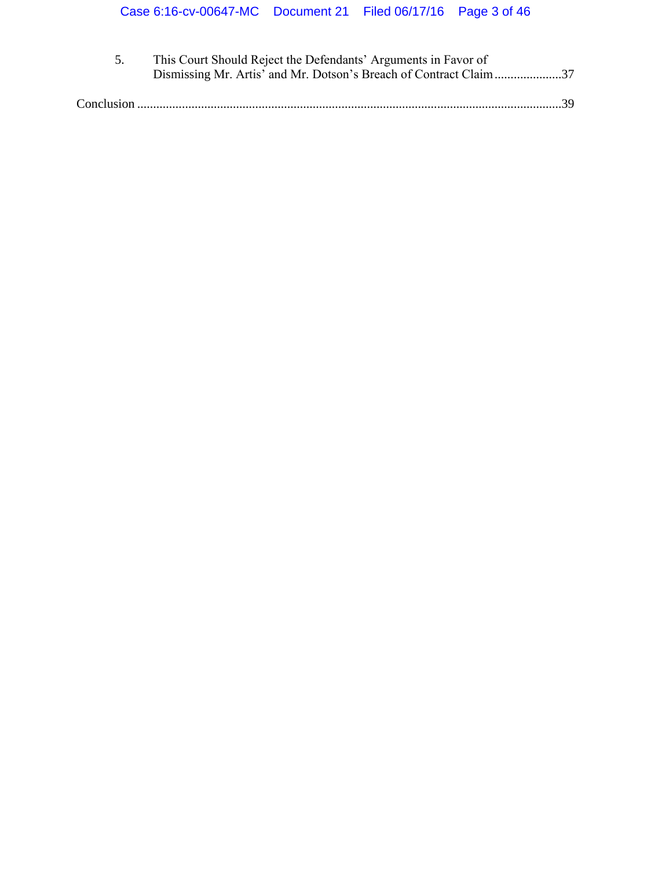| This Court Should Reject the Defendants' Arguments in Favor of    |  |
|-------------------------------------------------------------------|--|
| Dismissing Mr. Artis' and Mr. Dotson's Breach of Contract Claim37 |  |
|                                                                   |  |
|                                                                   |  |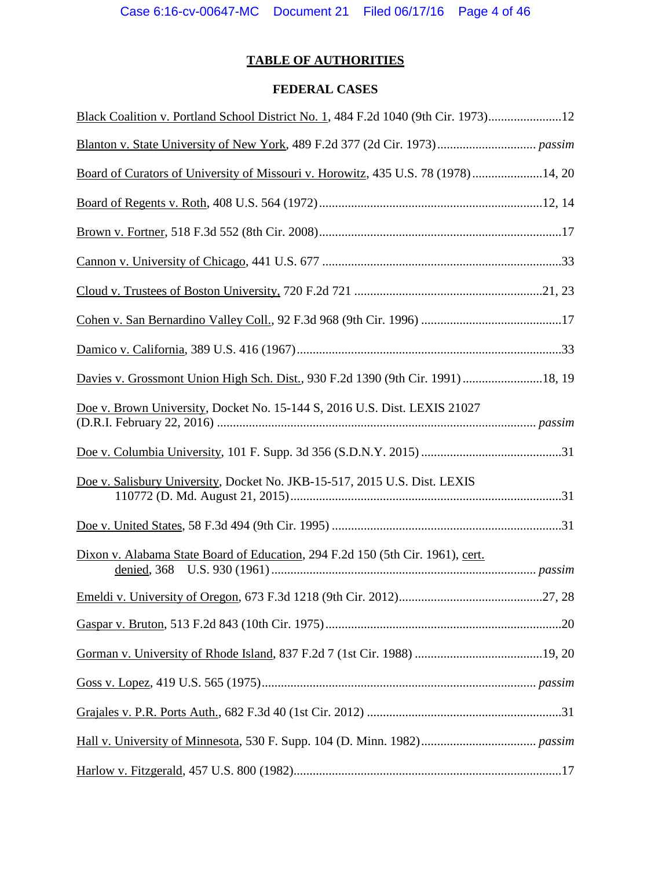# **TABLE OF AUTHORITIES**

# **FEDERAL CASES**

| Black Coalition v. Portland School District No. 1, 484 F.2d 1040 (9th Cir. 1973)12 |  |
|------------------------------------------------------------------------------------|--|
|                                                                                    |  |
| Board of Curators of University of Missouri v. Horowitz, 435 U.S. 78 (1978)14, 20  |  |
|                                                                                    |  |
|                                                                                    |  |
|                                                                                    |  |
|                                                                                    |  |
|                                                                                    |  |
|                                                                                    |  |
| Davies v. Grossmont Union High Sch. Dist., 930 F.2d 1390 (9th Cir. 1991)18, 19     |  |
| Doe v. Brown University, Docket No. 15-144 S, 2016 U.S. Dist. LEXIS 21027          |  |
|                                                                                    |  |
| Doe v. Salisbury University, Docket No. JKB-15-517, 2015 U.S. Dist. LEXIS          |  |
|                                                                                    |  |
| Dixon v. Alabama State Board of Education, 294 F.2d 150 (5th Cir. 1961), cert.     |  |
|                                                                                    |  |
|                                                                                    |  |
|                                                                                    |  |
|                                                                                    |  |
|                                                                                    |  |
|                                                                                    |  |
|                                                                                    |  |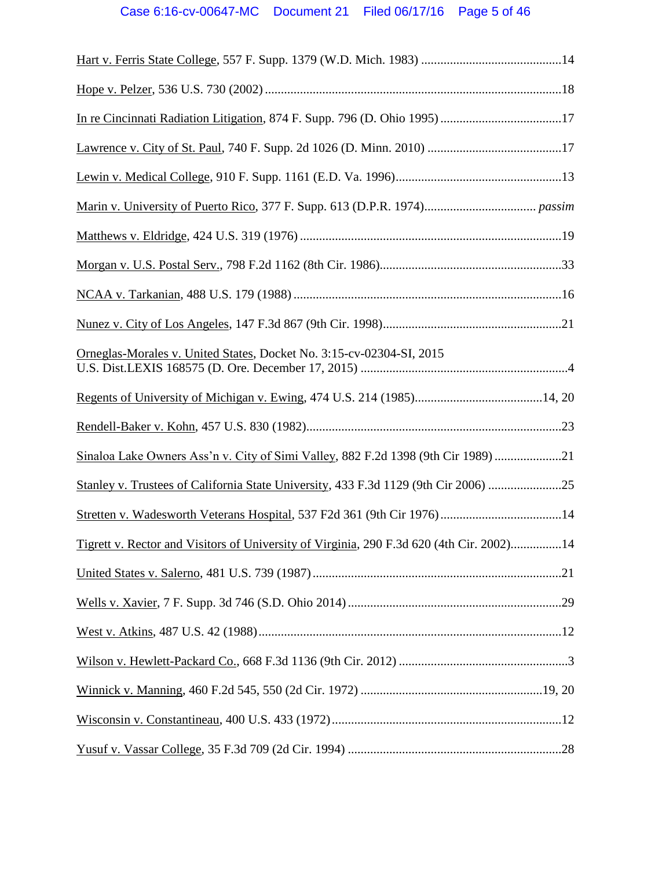# Case 6:16-cv-00647-MC Document 21 Filed 06/17/16 Page 5 of 46

| Orneglas-Morales v. United States, Docket No. 3:15-cv-02304-SI, 2015                     |  |
|------------------------------------------------------------------------------------------|--|
|                                                                                          |  |
|                                                                                          |  |
| Sinaloa Lake Owners Ass'n v. City of Simi Valley, 882 F.2d 1398 (9th Cir 1989) 21        |  |
| Stanley v. Trustees of California State University, 433 F.3d 1129 (9th Cir 2006) 25      |  |
|                                                                                          |  |
| Tigrett v. Rector and Visitors of University of Virginia, 290 F.3d 620 (4th Cir. 2002)14 |  |
|                                                                                          |  |
|                                                                                          |  |
|                                                                                          |  |
|                                                                                          |  |
|                                                                                          |  |
|                                                                                          |  |
|                                                                                          |  |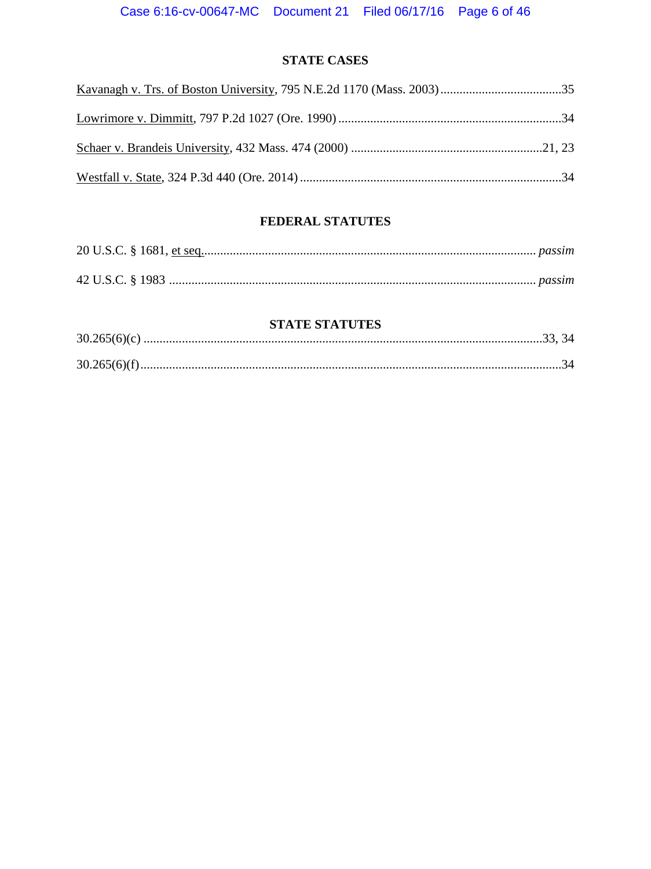# **STATE CASES**

# **FEDERAL STATUTES**

# **STATE STATUTES**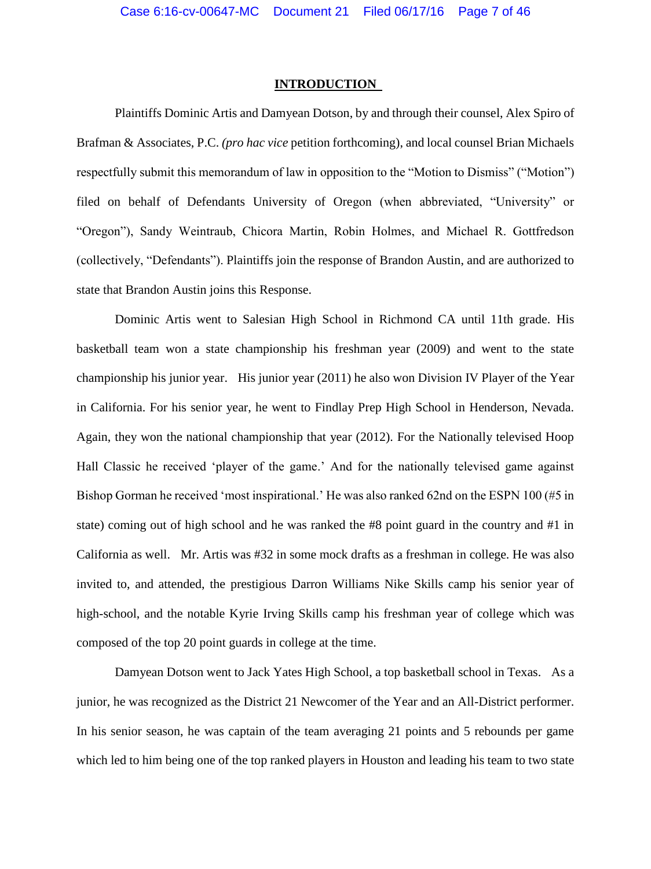#### **INTRODUCTION**

Plaintiffs Dominic Artis and Damyean Dotson, by and through their counsel, Alex Spiro of Brafman & Associates, P.C. *(pro hac vice* petition forthcoming), and local counsel Brian Michaels respectfully submit this memorandum of law in opposition to the "Motion to Dismiss" ("Motion") filed on behalf of Defendants University of Oregon (when abbreviated, "University" or "Oregon"), Sandy Weintraub, Chicora Martin, Robin Holmes, and Michael R. Gottfredson (collectively, "Defendants"). Plaintiffs join the response of Brandon Austin, and are authorized to state that Brandon Austin joins this Response.

Dominic Artis went to Salesian High School in Richmond CA until 11th grade. His basketball team won a state championship his freshman year (2009) and went to the state championship his junior year. His junior year (2011) he also won Division IV Player of the Year in California. For his senior year, he went to Findlay Prep High School in Henderson, Nevada. Again, they won the national championship that year (2012). For the Nationally televised Hoop Hall Classic he received 'player of the game.' And for the nationally televised game against Bishop Gorman he received 'most inspirational.' He was also ranked 62nd on the ESPN 100 (#5 in state) coming out of high school and he was ranked the #8 point guard in the country and #1 in California as well. Mr. Artis was #32 in some mock drafts as a freshman in college. He was also invited to, and attended, the prestigious Darron Williams Nike Skills camp his senior year of high-school, and the notable Kyrie Irving Skills camp his freshman year of college which was composed of the top 20 point guards in college at the time.

Damyean Dotson went to Jack Yates High School, a top basketball school in Texas. As a junior, he was recognized as the District 21 Newcomer of the Year and an All-District performer. In his senior season, he was captain of the team averaging 21 points and 5 rebounds per game which led to him being one of the top ranked players in Houston and leading his team to two state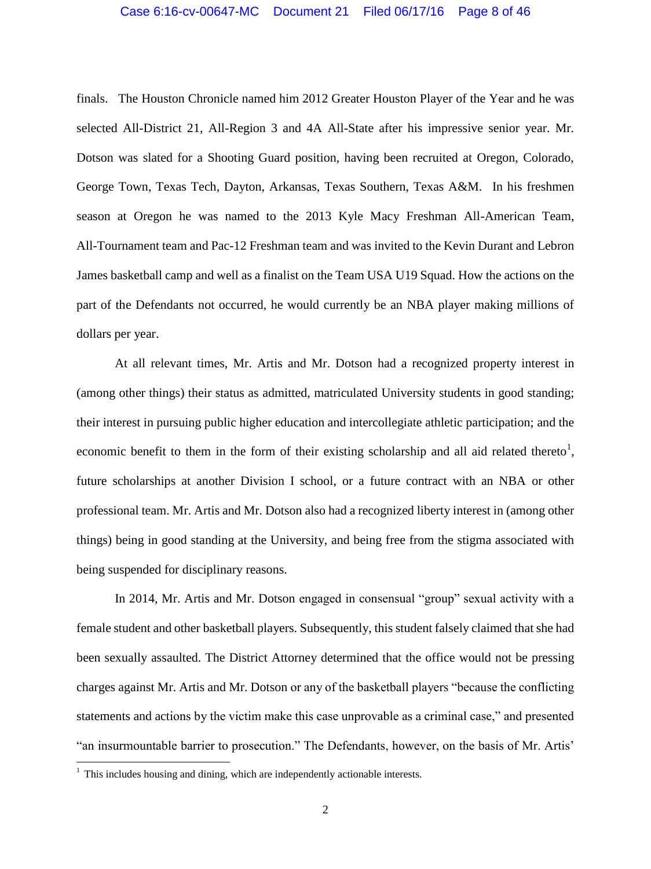#### Case 6:16-cv-00647-MC Document 21 Filed 06/17/16 Page 8 of 46

finals. The Houston Chronicle named him 2012 Greater Houston Player of the Year and he was selected All-District 21, All-Region 3 and 4A All-State after his impressive senior year. Mr. Dotson was slated for a Shooting Guard position, having been recruited at Oregon, Colorado, George Town, Texas Tech, Dayton, Arkansas, Texas Southern, Texas A&M. In his freshmen season at Oregon he was named to the 2013 Kyle Macy Freshman All-American Team, All-Tournament team and Pac-12 Freshman team and was invited to the Kevin Durant and Lebron James basketball camp and well as a finalist on the Team USA U19 Squad. How the actions on the part of the Defendants not occurred, he would currently be an NBA player making millions of dollars per year.

At all relevant times, Mr. Artis and Mr. Dotson had a recognized property interest in (among other things) their status as admitted, matriculated University students in good standing; their interest in pursuing public higher education and intercollegiate athletic participation; and the economic benefit to them in the form of their existing scholarship and all aid related thereto<sup>1</sup>, future scholarships at another Division I school, or a future contract with an NBA or other professional team. Mr. Artis and Mr. Dotson also had a recognized liberty interest in (among other things) being in good standing at the University, and being free from the stigma associated with being suspended for disciplinary reasons.

In 2014, Mr. Artis and Mr. Dotson engaged in consensual "group" sexual activity with a female student and other basketball players. Subsequently, this student falsely claimed that she had been sexually assaulted. The District Attorney determined that the office would not be pressing charges against Mr. Artis and Mr. Dotson or any of the basketball players "because the conflicting statements and actions by the victim make this case unprovable as a criminal case," and presented "an insurmountable barrier to prosecution." The Defendants, however, on the basis of Mr. Artis'

 $<sup>1</sup>$  This includes housing and dining, which are independently actionable interests.</sup>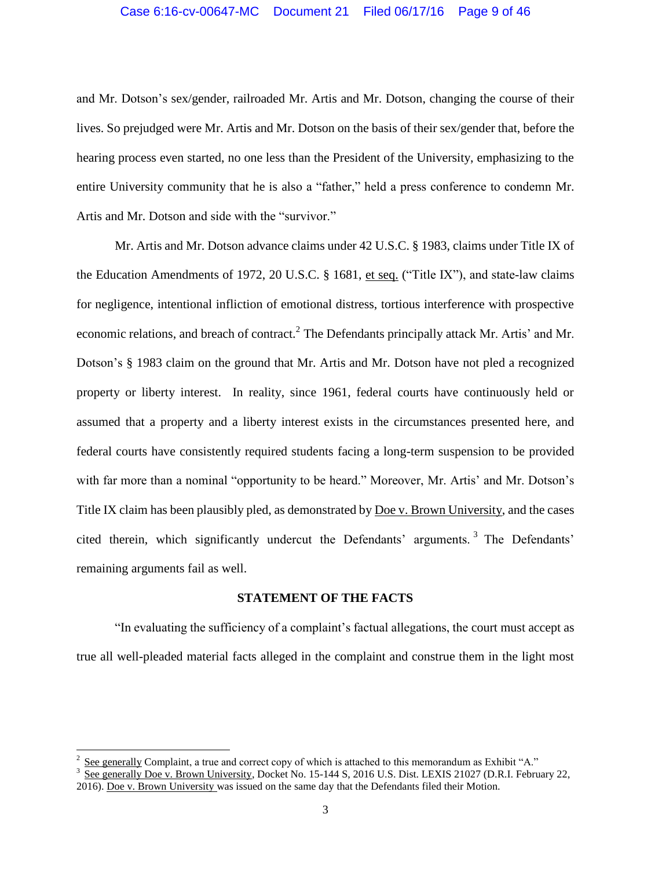and Mr. Dotson's sex/gender, railroaded Mr. Artis and Mr. Dotson, changing the course of their lives. So prejudged were Mr. Artis and Mr. Dotson on the basis of their sex/gender that, before the hearing process even started, no one less than the President of the University, emphasizing to the entire University community that he is also a "father," held a press conference to condemn Mr. Artis and Mr. Dotson and side with the "survivor."

Mr. Artis and Mr. Dotson advance claims under 42 U.S.C. § 1983, claims under Title IX of the Education Amendments of 1972, 20 U.S.C. § 1681, et seq. ("Title IX"), and state-law claims for negligence, intentional infliction of emotional distress, tortious interference with prospective economic relations, and breach of contract.<sup>2</sup> The Defendants principally attack Mr. Artis' and Mr. Dotson's § 1983 claim on the ground that Mr. Artis and Mr. Dotson have not pled a recognized property or liberty interest. In reality, since 1961, federal courts have continuously held or assumed that a property and a liberty interest exists in the circumstances presented here, and federal courts have consistently required students facing a long-term suspension to be provided with far more than a nominal "opportunity to be heard." Moreover, Mr. Artis' and Mr. Dotson's Title IX claim has been plausibly pled, as demonstrated by Doe v. Brown University, and the cases cited therein, which significantly undercut the Defendants' arguments.<sup>3</sup> The Defendants' remaining arguments fail as well.

## **STATEMENT OF THE FACTS**

"In evaluating the sufficiency of a complaint's factual allegations, the court must accept as true all well-pleaded material facts alleged in the complaint and construe them in the light most

l

<sup>2</sup> See generally Complaint, a true and correct copy of which is attached to this memorandum as Exhibit "A."

<sup>&</sup>lt;sup>3</sup> See generally Doe v. Brown University, Docket No. 15-144 S, 2016 U.S. Dist. LEXIS 21027 (D.R.I. February 22, 2016). Doe v. Brown University was issued on the same day that the Defendants filed their Motion.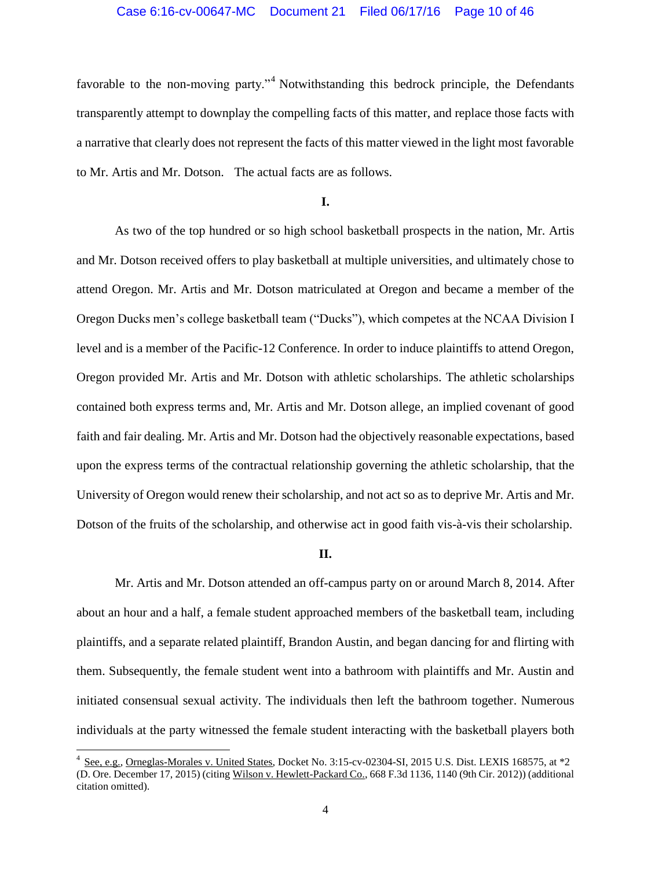favorable to the non-moving party."<sup>4</sup> Notwithstanding this bedrock principle, the Defendants transparently attempt to downplay the compelling facts of this matter, and replace those facts with a narrative that clearly does not represent the facts of this matter viewed in the light most favorable to Mr. Artis and Mr. Dotson. The actual facts are as follows.

#### **I.**

As two of the top hundred or so high school basketball prospects in the nation, Mr. Artis and Mr. Dotson received offers to play basketball at multiple universities, and ultimately chose to attend Oregon. Mr. Artis and Mr. Dotson matriculated at Oregon and became a member of the Oregon Ducks men's college basketball team ("Ducks"), which competes at the NCAA Division I level and is a member of the Pacific-12 Conference. In order to induce plaintiffs to attend Oregon, Oregon provided Mr. Artis and Mr. Dotson with athletic scholarships. The athletic scholarships contained both express terms and, Mr. Artis and Mr. Dotson allege, an implied covenant of good faith and fair dealing. Mr. Artis and Mr. Dotson had the objectively reasonable expectations, based upon the express terms of the contractual relationship governing the athletic scholarship, that the University of Oregon would renew their scholarship, and not act so as to deprive Mr. Artis and Mr. Dotson of the fruits of the scholarship, and otherwise act in good faith vis-à-vis their scholarship.

#### **II.**

Mr. Artis and Mr. Dotson attended an off-campus party on or around March 8, 2014. After about an hour and a half, a female student approached members of the basketball team, including plaintiffs, and a separate related plaintiff, Brandon Austin, and began dancing for and flirting with them. Subsequently, the female student went into a bathroom with plaintiffs and Mr. Austin and initiated consensual sexual activity. The individuals then left the bathroom together. Numerous individuals at the party witnessed the female student interacting with the basketball players both

 4 See, e.g., Orneglas-Morales v. United States, Docket No. 3:15-cv-02304-SI, 2015 U.S. Dist. LEXIS 168575, at \*2 (D. Ore. December 17, 2015) (citing Wilson v. Hewlett-Packard Co., 668 F.3d 1136, 1140 (9th Cir. 2012)) (additional citation omitted).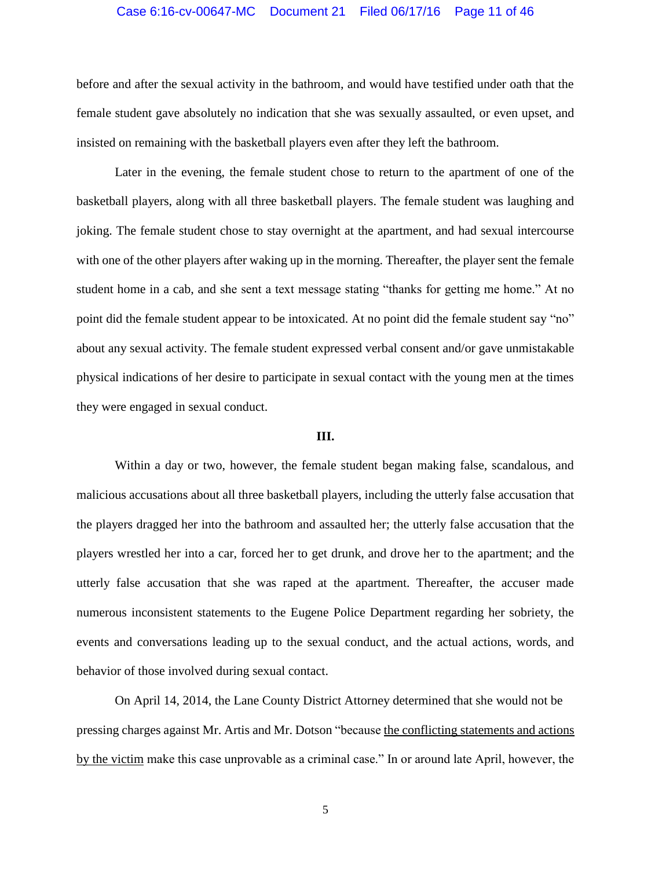#### Case 6:16-cv-00647-MC Document 21 Filed 06/17/16 Page 11 of 46

before and after the sexual activity in the bathroom, and would have testified under oath that the female student gave absolutely no indication that she was sexually assaulted, or even upset, and insisted on remaining with the basketball players even after they left the bathroom.

Later in the evening, the female student chose to return to the apartment of one of the basketball players, along with all three basketball players. The female student was laughing and joking. The female student chose to stay overnight at the apartment, and had sexual intercourse with one of the other players after waking up in the morning. Thereafter, the player sent the female student home in a cab, and she sent a text message stating "thanks for getting me home." At no point did the female student appear to be intoxicated. At no point did the female student say "no" about any sexual activity. The female student expressed verbal consent and/or gave unmistakable physical indications of her desire to participate in sexual contact with the young men at the times they were engaged in sexual conduct.

## **III.**

Within a day or two, however, the female student began making false, scandalous, and malicious accusations about all three basketball players, including the utterly false accusation that the players dragged her into the bathroom and assaulted her; the utterly false accusation that the players wrestled her into a car, forced her to get drunk, and drove her to the apartment; and the utterly false accusation that she was raped at the apartment. Thereafter, the accuser made numerous inconsistent statements to the Eugene Police Department regarding her sobriety, the events and conversations leading up to the sexual conduct, and the actual actions, words, and behavior of those involved during sexual contact.

On April 14, 2014, the Lane County District Attorney determined that she would not be pressing charges against Mr. Artis and Mr. Dotson "because the conflicting statements and actions by the victim make this case unprovable as a criminal case." In or around late April, however, the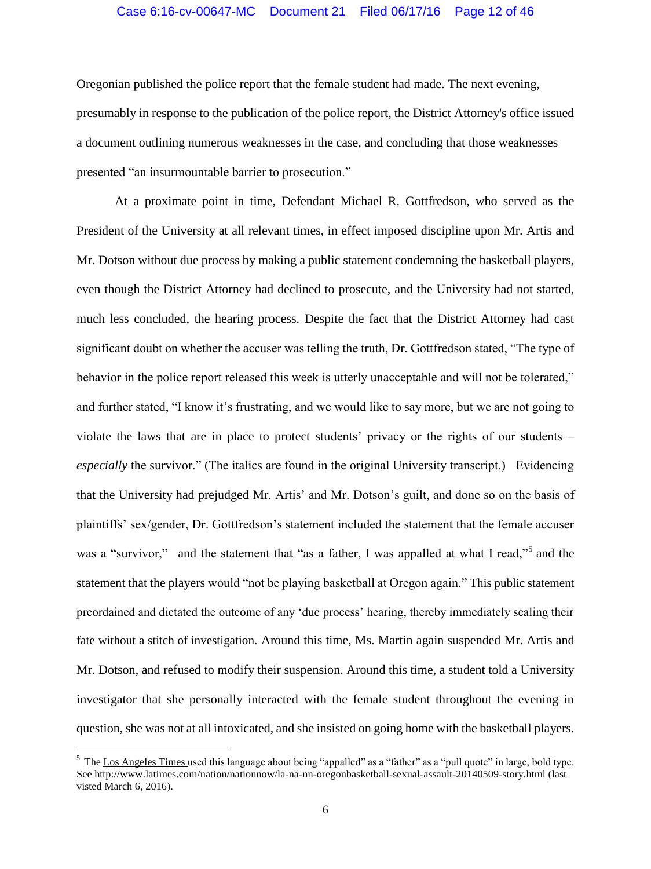#### Case 6:16-cv-00647-MC Document 21 Filed 06/17/16 Page 12 of 46

Oregonian published the police report that the female student had made. The next evening, presumably in response to the publication of the police report, the District Attorney's office issued a document outlining numerous weaknesses in the case, and concluding that those weaknesses presented "an insurmountable barrier to prosecution."

At a proximate point in time, Defendant Michael R. Gottfredson, who served as the President of the University at all relevant times, in effect imposed discipline upon Mr. Artis and Mr. Dotson without due process by making a public statement condemning the basketball players, even though the District Attorney had declined to prosecute, and the University had not started, much less concluded, the hearing process. Despite the fact that the District Attorney had cast significant doubt on whether the accuser was telling the truth, Dr. Gottfredson stated, "The type of behavior in the police report released this week is utterly unacceptable and will not be tolerated," and further stated, "I know it's frustrating, and we would like to say more, but we are not going to violate the laws that are in place to protect students' privacy or the rights of our students – *especially* the survivor." (The italics are found in the original University transcript.) Evidencing that the University had prejudged Mr. Artis' and Mr. Dotson's guilt, and done so on the basis of plaintiffs' sex/gender, Dr. Gottfredson's statement included the statement that the female accuser was a "survivor," and the statement that "as a father, I was appalled at what I read,"<sup>5</sup> and the statement that the players would "not be playing basketball at Oregon again." This public statement preordained and dictated the outcome of any 'due process' hearing, thereby immediately sealing their fate without a stitch of investigation. Around this time, Ms. Martin again suspended Mr. Artis and Mr. Dotson, and refused to modify their suspension. Around this time, a student told a University investigator that she personally interacted with the female student throughout the evening in question, she was not at all intoxicated, and she insisted on going home with the basketball players.

l

<sup>&</sup>lt;sup>5</sup> The Los Angeles Times used this language about being "appalled" as a "father" as a "pull quote" in large, bold type. See http://www.latimes.com/nation/nationnow/la-na-nn-oregonbasketball-sexual-assault-20140509-story.html (last visted March 6, 2016).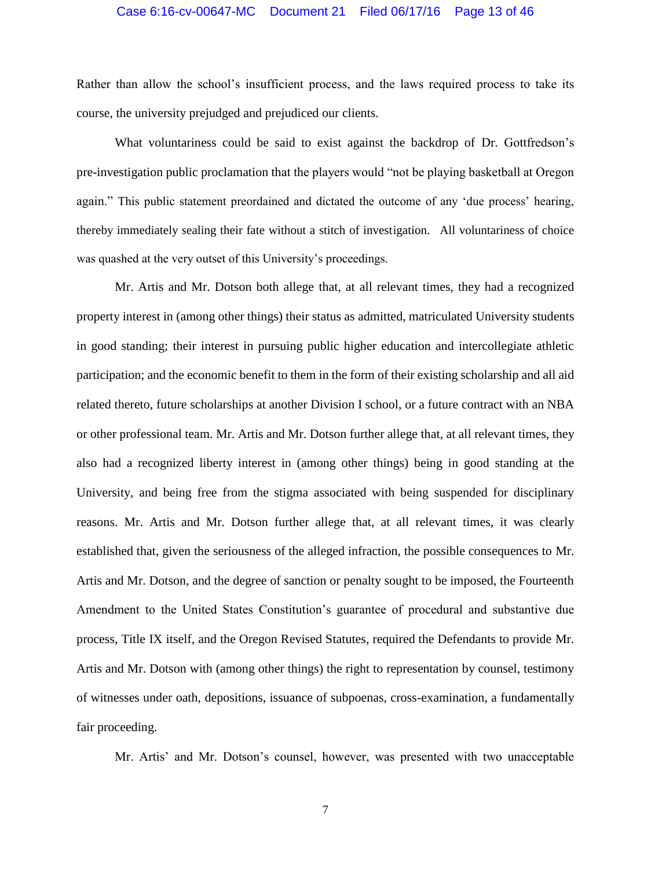#### Case 6:16-cv-00647-MC Document 21 Filed 06/17/16 Page 13 of 46

Rather than allow the school's insufficient process, and the laws required process to take its course, the university prejudged and prejudiced our clients.

What voluntariness could be said to exist against the backdrop of Dr. Gottfredson's pre-investigation public proclamation that the players would "not be playing basketball at Oregon again." This public statement preordained and dictated the outcome of any 'due process' hearing, thereby immediately sealing their fate without a stitch of investigation. All voluntariness of choice was quashed at the very outset of this University's proceedings.

Mr. Artis and Mr. Dotson both allege that, at all relevant times, they had a recognized property interest in (among other things) their status as admitted, matriculated University students in good standing; their interest in pursuing public higher education and intercollegiate athletic participation; and the economic benefit to them in the form of their existing scholarship and all aid related thereto, future scholarships at another Division I school, or a future contract with an NBA or other professional team. Mr. Artis and Mr. Dotson further allege that, at all relevant times, they also had a recognized liberty interest in (among other things) being in good standing at the University, and being free from the stigma associated with being suspended for disciplinary reasons. Mr. Artis and Mr. Dotson further allege that, at all relevant times, it was clearly established that, given the seriousness of the alleged infraction, the possible consequences to Mr. Artis and Mr. Dotson, and the degree of sanction or penalty sought to be imposed, the Fourteenth Amendment to the United States Constitution's guarantee of procedural and substantive due process, Title IX itself, and the Oregon Revised Statutes, required the Defendants to provide Mr. Artis and Mr. Dotson with (among other things) the right to representation by counsel, testimony of witnesses under oath, depositions, issuance of subpoenas, cross-examination, a fundamentally fair proceeding.

Mr. Artis' and Mr. Dotson's counsel, however, was presented with two unacceptable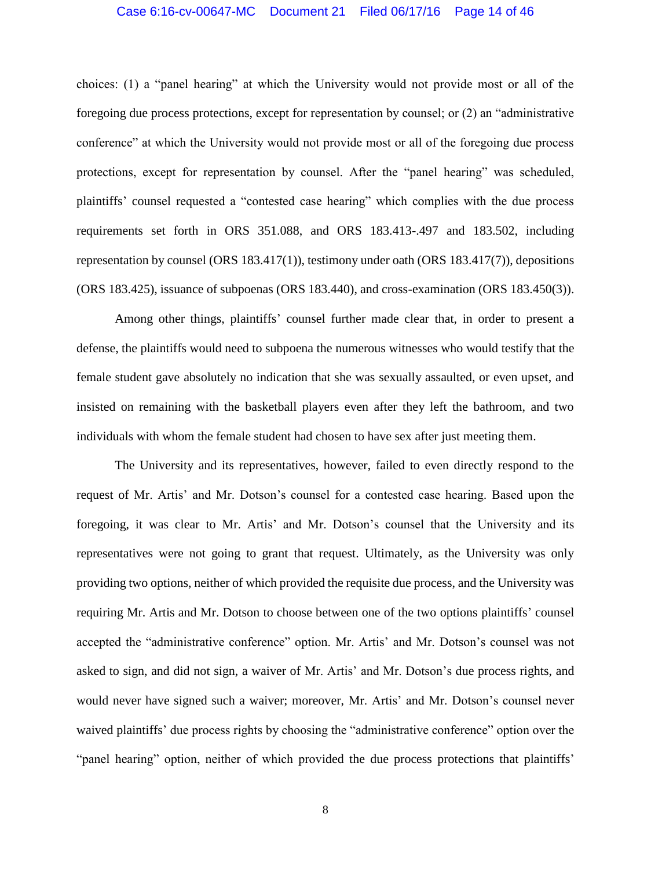#### Case 6:16-cv-00647-MC Document 21 Filed 06/17/16 Page 14 of 46

choices: (1) a "panel hearing" at which the University would not provide most or all of the foregoing due process protections, except for representation by counsel; or (2) an "administrative conference" at which the University would not provide most or all of the foregoing due process protections, except for representation by counsel. After the "panel hearing" was scheduled, plaintiffs' counsel requested a "contested case hearing" which complies with the due process requirements set forth in ORS 351.088, and ORS 183.413-.497 and 183.502, including representation by counsel (ORS 183.417(1)), testimony under oath (ORS 183.417(7)), depositions (ORS 183.425), issuance of subpoenas (ORS 183.440), and cross-examination (ORS 183.450(3)).

Among other things, plaintiffs' counsel further made clear that, in order to present a defense, the plaintiffs would need to subpoena the numerous witnesses who would testify that the female student gave absolutely no indication that she was sexually assaulted, or even upset, and insisted on remaining with the basketball players even after they left the bathroom, and two individuals with whom the female student had chosen to have sex after just meeting them.

The University and its representatives, however, failed to even directly respond to the request of Mr. Artis' and Mr. Dotson's counsel for a contested case hearing. Based upon the foregoing, it was clear to Mr. Artis' and Mr. Dotson's counsel that the University and its representatives were not going to grant that request. Ultimately, as the University was only providing two options, neither of which provided the requisite due process, and the University was requiring Mr. Artis and Mr. Dotson to choose between one of the two options plaintiffs' counsel accepted the "administrative conference" option. Mr. Artis' and Mr. Dotson's counsel was not asked to sign, and did not sign, a waiver of Mr. Artis' and Mr. Dotson's due process rights, and would never have signed such a waiver; moreover, Mr. Artis' and Mr. Dotson's counsel never waived plaintiffs' due process rights by choosing the "administrative conference" option over the "panel hearing" option, neither of which provided the due process protections that plaintiffs'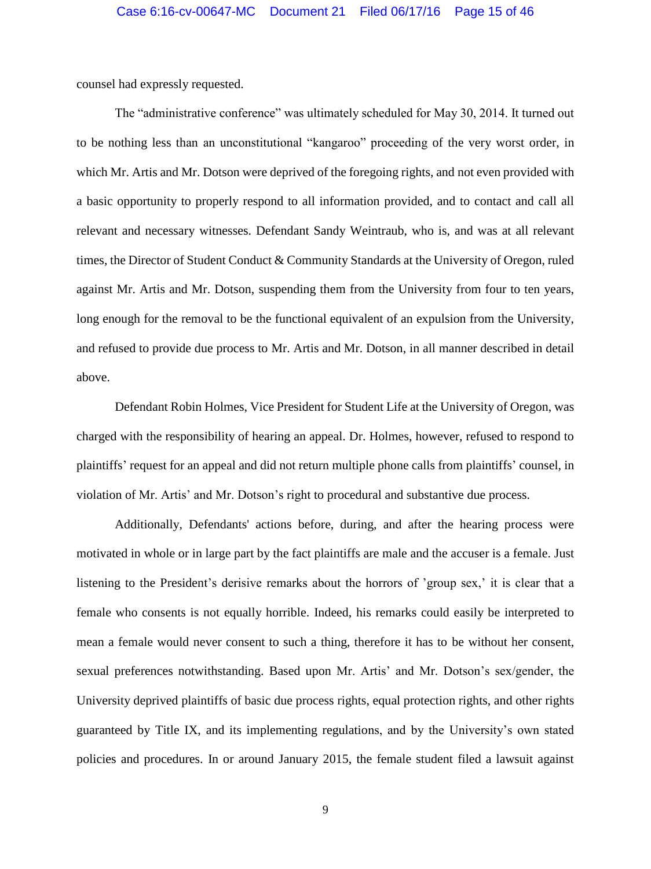counsel had expressly requested.

The "administrative conference" was ultimately scheduled for May 30, 2014. It turned out to be nothing less than an unconstitutional "kangaroo" proceeding of the very worst order, in which Mr. Artis and Mr. Dotson were deprived of the foregoing rights, and not even provided with a basic opportunity to properly respond to all information provided, and to contact and call all relevant and necessary witnesses. Defendant Sandy Weintraub, who is, and was at all relevant times, the Director of Student Conduct & Community Standards at the University of Oregon, ruled against Mr. Artis and Mr. Dotson, suspending them from the University from four to ten years, long enough for the removal to be the functional equivalent of an expulsion from the University, and refused to provide due process to Mr. Artis and Mr. Dotson, in all manner described in detail above.

Defendant Robin Holmes, Vice President for Student Life at the University of Oregon, was charged with the responsibility of hearing an appeal. Dr. Holmes, however, refused to respond to plaintiffs' request for an appeal and did not return multiple phone calls from plaintiffs' counsel, in violation of Mr. Artis' and Mr. Dotson's right to procedural and substantive due process.

Additionally, Defendants' actions before, during, and after the hearing process were motivated in whole or in large part by the fact plaintiffs are male and the accuser is a female. Just listening to the President's derisive remarks about the horrors of 'group sex,' it is clear that a female who consents is not equally horrible. Indeed, his remarks could easily be interpreted to mean a female would never consent to such a thing, therefore it has to be without her consent, sexual preferences notwithstanding. Based upon Mr. Artis' and Mr. Dotson's sex/gender, the University deprived plaintiffs of basic due process rights, equal protection rights, and other rights guaranteed by Title IX, and its implementing regulations, and by the University's own stated policies and procedures. In or around January 2015, the female student filed a lawsuit against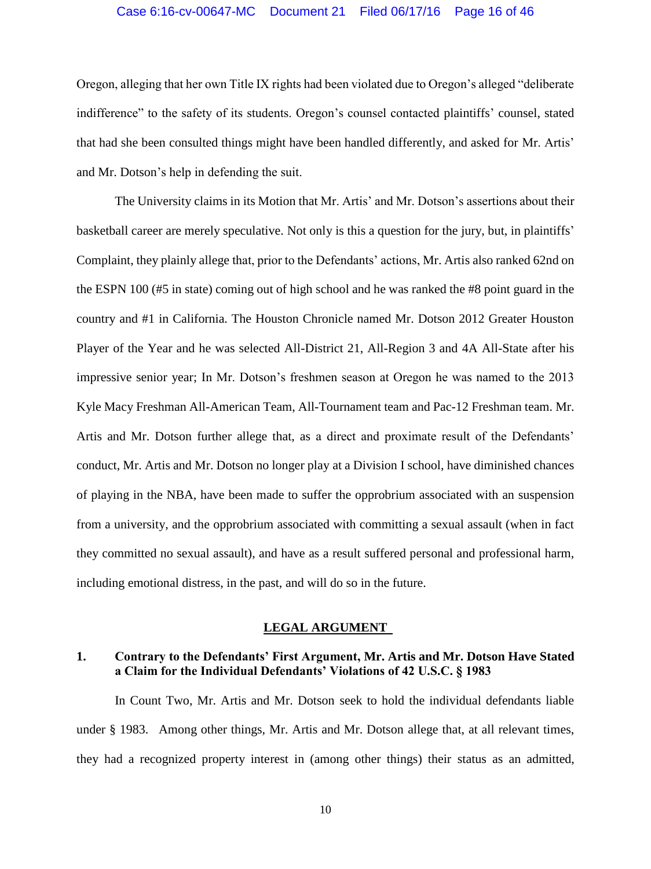#### Case 6:16-cv-00647-MC Document 21 Filed 06/17/16 Page 16 of 46

Oregon, alleging that her own Title IX rights had been violated due to Oregon's alleged "deliberate indifference" to the safety of its students. Oregon's counsel contacted plaintiffs' counsel, stated that had she been consulted things might have been handled differently, and asked for Mr. Artis' and Mr. Dotson's help in defending the suit.

The University claims in its Motion that Mr. Artis' and Mr. Dotson's assertions about their basketball career are merely speculative. Not only is this a question for the jury, but, in plaintiffs' Complaint, they plainly allege that, prior to the Defendants' actions, Mr. Artis also ranked 62nd on the ESPN 100 (#5 in state) coming out of high school and he was ranked the #8 point guard in the country and #1 in California. The Houston Chronicle named Mr. Dotson 2012 Greater Houston Player of the Year and he was selected All-District 21, All-Region 3 and 4A All-State after his impressive senior year; In Mr. Dotson's freshmen season at Oregon he was named to the 2013 Kyle Macy Freshman All-American Team, All-Tournament team and Pac-12 Freshman team. Mr. Artis and Mr. Dotson further allege that, as a direct and proximate result of the Defendants' conduct, Mr. Artis and Mr. Dotson no longer play at a Division I school, have diminished chances of playing in the NBA, have been made to suffer the opprobrium associated with an suspension from a university, and the opprobrium associated with committing a sexual assault (when in fact they committed no sexual assault), and have as a result suffered personal and professional harm, including emotional distress, in the past, and will do so in the future.

## **LEGAL ARGUMENT**

## **1. Contrary to the Defendants' First Argument, Mr. Artis and Mr. Dotson Have Stated a Claim for the Individual Defendants' Violations of 42 U.S.C. § 1983**

In Count Two, Mr. Artis and Mr. Dotson seek to hold the individual defendants liable under § 1983. Among other things, Mr. Artis and Mr. Dotson allege that, at all relevant times, they had a recognized property interest in (among other things) their status as an admitted,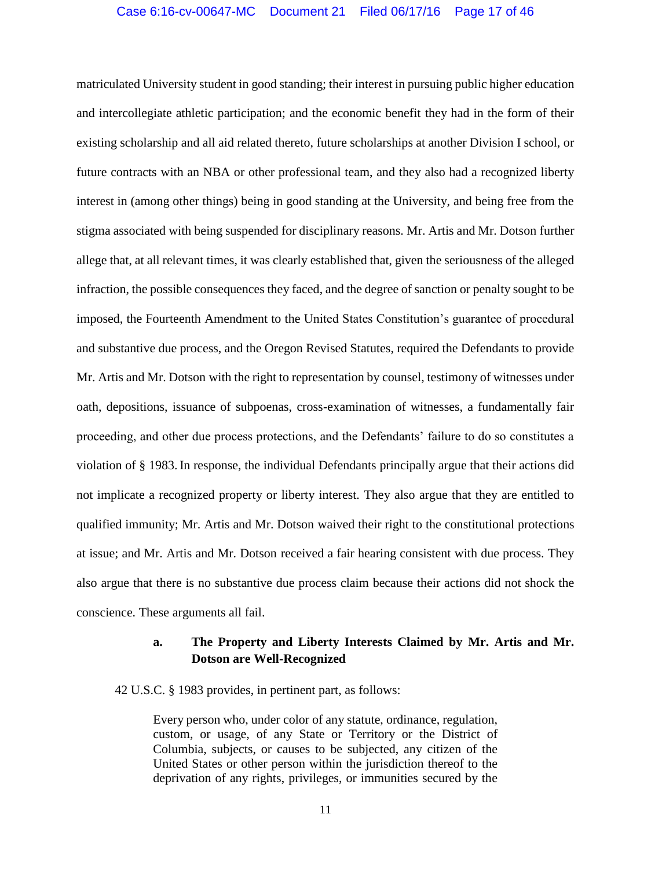matriculated University student in good standing; their interest in pursuing public higher education and intercollegiate athletic participation; and the economic benefit they had in the form of their existing scholarship and all aid related thereto, future scholarships at another Division I school, or future contracts with an NBA or other professional team, and they also had a recognized liberty interest in (among other things) being in good standing at the University, and being free from the stigma associated with being suspended for disciplinary reasons. Mr. Artis and Mr. Dotson further allege that, at all relevant times, it was clearly established that, given the seriousness of the alleged infraction, the possible consequences they faced, and the degree of sanction or penalty sought to be imposed, the Fourteenth Amendment to the United States Constitution's guarantee of procedural and substantive due process, and the Oregon Revised Statutes, required the Defendants to provide Mr. Artis and Mr. Dotson with the right to representation by counsel, testimony of witnesses under oath, depositions, issuance of subpoenas, cross-examination of witnesses, a fundamentally fair proceeding, and other due process protections, and the Defendants' failure to do so constitutes a violation of § 1983. In response, the individual Defendants principally argue that their actions did not implicate a recognized property or liberty interest. They also argue that they are entitled to qualified immunity; Mr. Artis and Mr. Dotson waived their right to the constitutional protections at issue; and Mr. Artis and Mr. Dotson received a fair hearing consistent with due process. They also argue that there is no substantive due process claim because their actions did not shock the conscience. These arguments all fail.

# **a. The Property and Liberty Interests Claimed by Mr. Artis and Mr. Dotson are Well-Recognized**

42 U.S.C. § 1983 provides, in pertinent part, as follows:

Every person who, under color of any statute, ordinance, regulation, custom, or usage, of any State or Territory or the District of Columbia, subjects, or causes to be subjected, any citizen of the United States or other person within the jurisdiction thereof to the deprivation of any rights, privileges, or immunities secured by the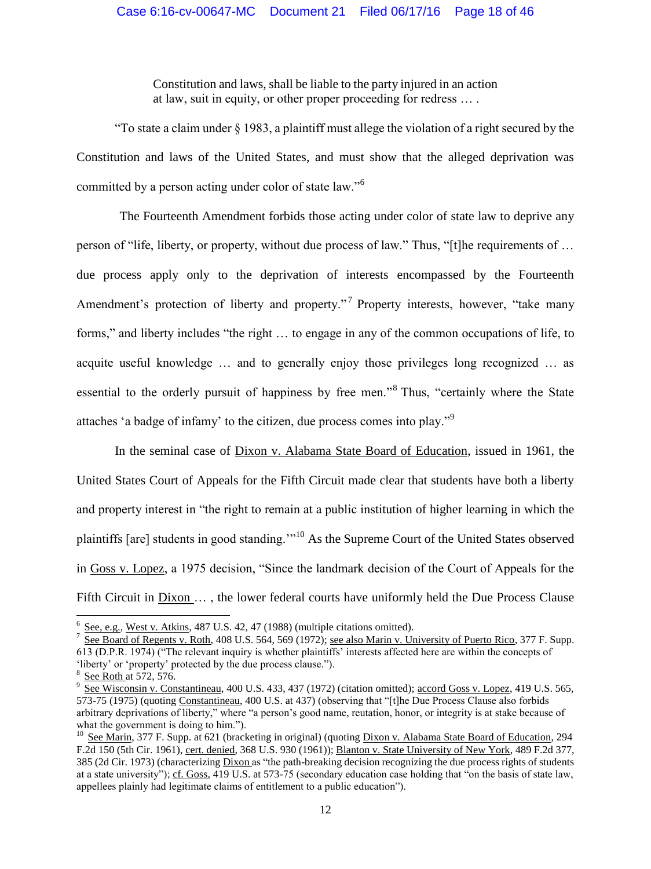Constitution and laws, shall be liable to the party injured in an action at law, suit in equity, or other proper proceeding for redress … .

"To state a claim under § 1983, a plaintiff must allege the violation of a right secured by the Constitution and laws of the United States, and must show that the alleged deprivation was committed by a person acting under color of state law."<sup>6</sup>

The Fourteenth Amendment forbids those acting under color of state law to deprive any person of "life, liberty, or property, without due process of law." Thus, "[t]he requirements of … due process apply only to the deprivation of interests encompassed by the Fourteenth Amendment's protection of liberty and property."<sup>7</sup> Property interests, however, "take many forms," and liberty includes "the right … to engage in any of the common occupations of life, to acquite useful knowledge … and to generally enjoy those privileges long recognized … as essential to the orderly pursuit of happiness by free men."<sup>8</sup> Thus, "certainly where the State attaches 'a badge of infamy' to the citizen, due process comes into play."<sup>9</sup>

In the seminal case of Dixon v. Alabama State Board of Education, issued in 1961, the United States Court of Appeals for the Fifth Circuit made clear that students have both a liberty and property interest in "the right to remain at a public institution of higher learning in which the plaintiffs [are] students in good standing.'"<sup>10</sup> As the Supreme Court of the United States observed in Goss v. Lopez, a 1975 decision, "Since the landmark decision of the Court of Appeals for the Fifth Circuit in Dixon … , the lower federal courts have uniformly held the Due Process Clause

<sup>&</sup>lt;sup>6</sup> See, e.g., West v. Atkins, 487 U.S. 42, 47 (1988) (multiple citations omitted).

<sup>7</sup> See Board of Regents v. Roth, 408 U.S. 564, 569 (1972); see also Marin v. University of Puerto Rico, 377 F. Supp. 613 (D.P.R. 1974) ("The relevant inquiry is whether plaintiffs' interests affected here are within the concepts of 'liberty' or 'property' protected by the due process clause.").

 $8 \text{ See } \text{Roth}$  at 572, 576.

 $9\text{ See Wisconsin v. Constantineau, }400 \text{ U.S. }433, 437 (1972)$  (citation omitted); accord Goss v. Lopez, 419 U.S. 565, 573-75 (1975) (quoting Constantineau, 400 U.S. at 437) (observing that "[t]he Due Process Clause also forbids arbitrary deprivations of liberty," where "a person's good name, reutation, honor, or integrity is at stake because of what the government is doing to him.").

<sup>&</sup>lt;sup>10</sup> See Marin, 377 F. Supp. at 621 (bracketing in original) (quoting Dixon v. Alabama State Board of Education, 294 F.2d 150 (5th Cir. 1961), cert. denied, 368 U.S. 930 (1961)); Blanton v. State University of New York, 489 F.2d 377, 385 (2d Cir. 1973) (characterizing Dixon as "the path-breaking decision recognizing the due process rights of students at a state university"); cf. Goss, 419 U.S. at 573-75 (secondary education case holding that "on the basis of state law, appellees plainly had legitimate claims of entitlement to a public education").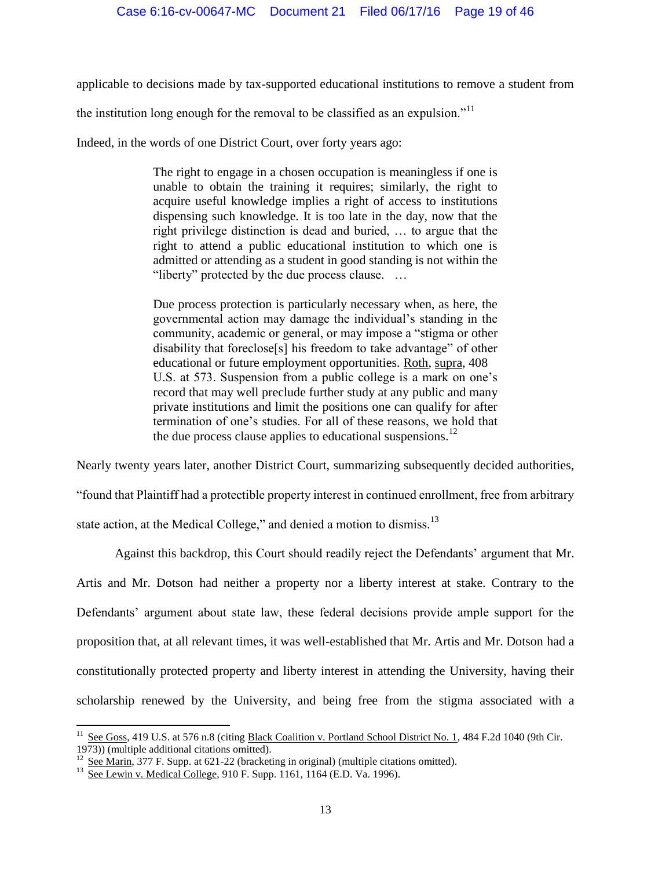applicable to decisions made by tax-supported educational institutions to remove a student from

the institution long enough for the removal to be classified as an expulsion.<sup> $11$ </sup>

Indeed, in the words of one District Court, over forty years ago:

The right to engage in a chosen occupation is meaningless if one is unable to obtain the training it requires; similarly, the right to acquire useful knowledge implies a right of access to institutions dispensing such knowledge. It is too late in the day, now that the right privilege distinction is dead and buried, … to argue that the right to attend a public educational institution to which one is admitted or attending as a student in good standing is not within the "liberty" protected by the due process clause. …

Due process protection is particularly necessary when, as here, the governmental action may damage the individual's standing in the community, academic or general, or may impose a "stigma or other disability that foreclose[s] his freedom to take advantage" of other educational or future employment opportunities. Roth, supra, 408 U.S. at 573. Suspension from a public college is a mark on one's record that may well preclude further study at any public and many private institutions and limit the positions one can qualify for after termination of one's studies. For all of these reasons, we hold that the due process clause applies to educational suspensions.<sup>12</sup>

Nearly twenty years later, another District Court, summarizing subsequently decided authorities,

"found that Plaintiff had a protectible property interest in continued enrollment, free from arbitrary

state action, at the Medical College," and denied a motion to dismiss.<sup>13</sup>

Against this backdrop, this Court should readily reject the Defendants' argument that Mr. Artis and Mr. Dotson had neither a property nor a liberty interest at stake. Contrary to the Defendants' argument about state law, these federal decisions provide ample support for the proposition that, at all relevant times, it was well-established that Mr. Artis and Mr. Dotson had a constitutionally protected property and liberty interest in attending the University, having their scholarship renewed by the University, and being free from the stigma associated with a

l

See Goss, 419 U.S. at 576 n.8 (citing Black Coalition v. Portland School District No. 1, 484 F.2d 1040 (9th Cir. 1973)) (multiple additional citations omitted).

<sup>&</sup>lt;sup>12</sup> See Marin, 377 F. Supp. at  $621-22$  (bracketing in original) (multiple citations omitted).

<sup>&</sup>lt;sup>13</sup> See Lewin v. Medical College, 910 F. Supp. 1161, 1164 (E.D. Va. 1996).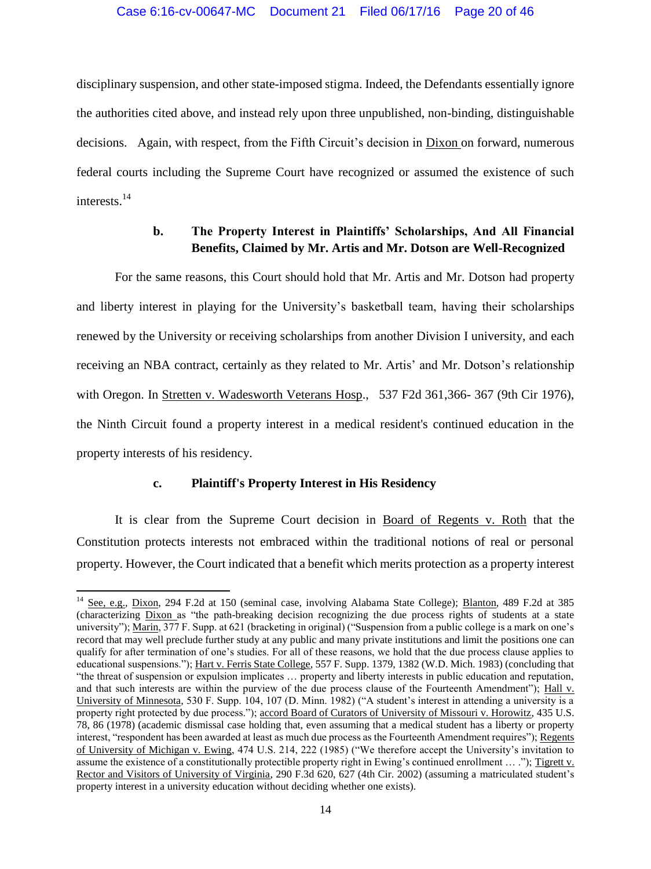disciplinary suspension, and other state-imposed stigma. Indeed, the Defendants essentially ignore the authorities cited above, and instead rely upon three unpublished, non-binding, distinguishable decisions. Again, with respect, from the Fifth Circuit's decision in Dixon on forward, numerous federal courts including the Supreme Court have recognized or assumed the existence of such interests.<sup>14</sup>

# **b. The Property Interest in Plaintiffs' Scholarships, And All Financial Benefits, Claimed by Mr. Artis and Mr. Dotson are Well-Recognized**

For the same reasons, this Court should hold that Mr. Artis and Mr. Dotson had property and liberty interest in playing for the University's basketball team, having their scholarships renewed by the University or receiving scholarships from another Division I university, and each receiving an NBA contract, certainly as they related to Mr. Artis' and Mr. Dotson's relationship with Oregon. In Stretten v. Wadesworth Veterans Hosp., 537 F2d 361,366- 367 (9th Cir 1976), the Ninth Circuit found a property interest in a medical resident's continued education in the property interests of his residency.

## **c. Plaintiff's Property Interest in His Residency**

 $\overline{\phantom{a}}$ 

It is clear from the Supreme Court decision in Board of Regents v. Roth that the Constitution protects interests not embraced within the traditional notions of real or personal property. However, the Court indicated that a benefit which merits protection as a property interest

<sup>&</sup>lt;sup>14</sup> See, e.g., Dixon, 294 F.2d at 150 (seminal case, involving Alabama State College); **Blanton**, 489 F.2d at 385 (characterizing Dixon as "the path-breaking decision recognizing the due process rights of students at a state university"); Marin, 377 F. Supp. at 621 (bracketing in original) ("Suspension from a public college is a mark on one's record that may well preclude further study at any public and many private institutions and limit the positions one can qualify for after termination of one's studies. For all of these reasons, we hold that the due process clause applies to educational suspensions."); Hart v. Ferris State College, 557 F. Supp. 1379, 1382 (W.D. Mich. 1983) (concluding that "the threat of suspension or expulsion implicates … property and liberty interests in public education and reputation, and that such interests are within the purview of the due process clause of the Fourteenth Amendment"); Hall v. University of Minnesota, 530 F. Supp. 104, 107 (D. Minn. 1982) ("A student's interest in attending a university is a property right protected by due process."); accord Board of Curators of University of Missouri v. Horowitz, 435 U.S. 78, 86 (1978) (academic dismissal case holding that, even assuming that a medical student has a liberty or property interest, "respondent has been awarded at least as much due process as the Fourteenth Amendment requires"); Regents of University of Michigan v. Ewing, 474 U.S. 214, 222 (1985) ("We therefore accept the University's invitation to assume the existence of a constitutionally protectible property right in Ewing's continued enrollment … ."); Tigrett v. Rector and Visitors of University of Virginia, 290 F.3d 620, 627 (4th Cir. 2002) (assuming a matriculated student's property interest in a university education without deciding whether one exists).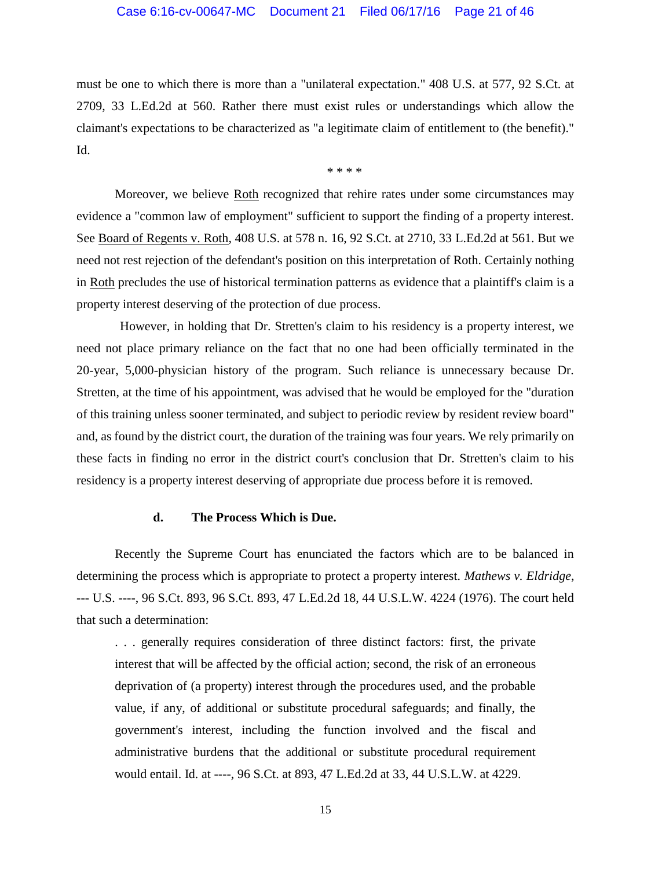## Case 6:16-cv-00647-MC Document 21 Filed 06/17/16 Page 21 of 46

must be one to which there is more than a "unilateral expectation." 408 U.S. at 577, 92 S.Ct. at 2709, 33 L.Ed.2d at 560. Rather there must exist rules or understandings which allow the claimant's expectations to be characterized as "a legitimate claim of entitlement to (the benefit)." Id.

\* \* \* \*

Moreover, we believe Roth recognized that rehire rates under some circumstances may evidence a "common law of employment" sufficient to support the finding of a property interest. See Board of Regents v. Roth, 408 U.S. at 578 n. 16, 92 S.Ct. at 2710, 33 L.Ed.2d at 561. But we need not rest rejection of the defendant's position on this interpretation of Roth. Certainly nothing in Roth precludes the use of historical termination patterns as evidence that a plaintiff's claim is a property interest deserving of the protection of due process.

However, in holding that Dr. Stretten's claim to his residency is a property interest, we need not place primary reliance on the fact that no one had been officially terminated in the 20-year, 5,000-physician history of the program. Such reliance is unnecessary because Dr. Stretten, at the time of his appointment, was advised that he would be employed for the "duration of this training unless sooner terminated, and subject to periodic review by resident review board" and, as found by the district court, the duration of the training was four years. We rely primarily on these facts in finding no error in the district court's conclusion that Dr. Stretten's claim to his residency is a property interest deserving of appropriate due process before it is removed.

## **d. The Process Which is Due.**

Recently the Supreme Court has enunciated the factors which are to be balanced in determining the process which is appropriate to protect a property interest. *Mathews v. Eldridge*, --- U.S. ----, 96 S.Ct. 893, 96 S.Ct. 893, 47 L.Ed.2d 18, 44 U.S.L.W. 4224 (1976). The court held that such a determination:

. . . generally requires consideration of three distinct factors: first, the private interest that will be affected by the official action; second, the risk of an erroneous deprivation of (a property) interest through the procedures used, and the probable value, if any, of additional or substitute procedural safeguards; and finally, the government's interest, including the function involved and the fiscal and administrative burdens that the additional or substitute procedural requirement would entail. Id. at ----, 96 S.Ct. at 893, 47 L.Ed.2d at 33, 44 U.S.L.W. at 4229.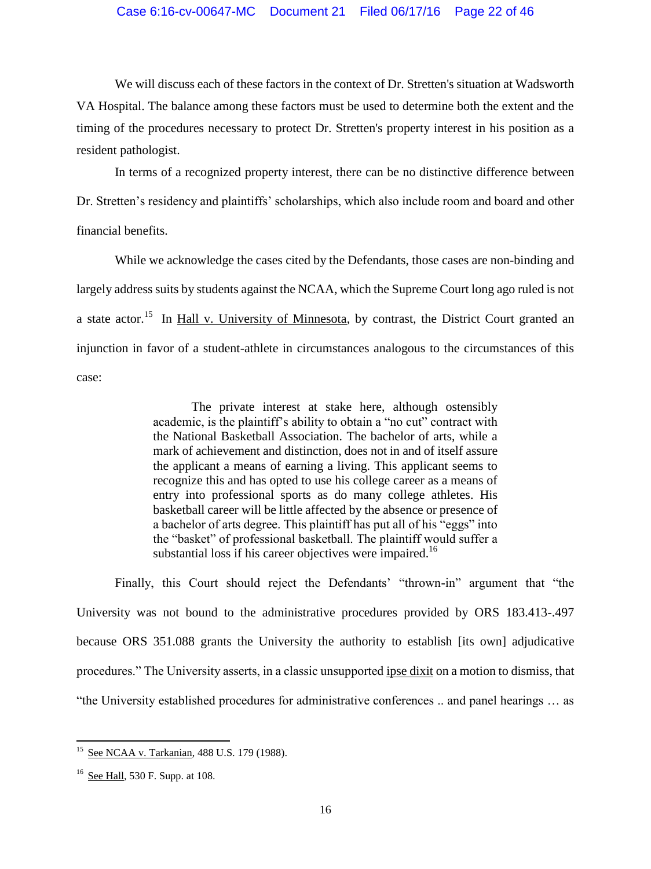### Case 6:16-cv-00647-MC Document 21 Filed 06/17/16 Page 22 of 46

We will discuss each of these factors in the context of Dr. Stretten's situation at Wadsworth VA Hospital. The balance among these factors must be used to determine both the extent and the timing of the procedures necessary to protect Dr. Stretten's property interest in his position as a resident pathologist.

In terms of a recognized property interest, there can be no distinctive difference between Dr. Stretten's residency and plaintiffs' scholarships, which also include room and board and other financial benefits.

While we acknowledge the cases cited by the Defendants, those cases are non-binding and largely address suits by students against the NCAA, which the Supreme Court long ago ruled is not a state actor.<sup>15</sup> In Hall v. University of Minnesota, by contrast, the District Court granted an injunction in favor of a student-athlete in circumstances analogous to the circumstances of this case:

> The private interest at stake here, although ostensibly academic, is the plaintiff's ability to obtain a "no cut" contract with the National Basketball Association. The bachelor of arts, while a mark of achievement and distinction, does not in and of itself assure the applicant a means of earning a living. This applicant seems to recognize this and has opted to use his college career as a means of entry into professional sports as do many college athletes. His basketball career will be little affected by the absence or presence of a bachelor of arts degree. This plaintiff has put all of his "eggs" into the "basket" of professional basketball. The plaintiff would suffer a substantial loss if his career objectives were impaired.<sup>16</sup>

Finally, this Court should reject the Defendants' "thrown-in" argument that "the University was not bound to the administrative procedures provided by ORS 183.413-.497 because ORS 351.088 grants the University the authority to establish [its own] adjudicative procedures." The University asserts, in a classic unsupported ipse dixit on a motion to dismiss, that "the University established procedures for administrative conferences .. and panel hearings … as

<sup>&</sup>lt;sup>15</sup> See NCAA v. Tarkanian, 488 U.S. 179 (1988).

<sup>16</sup> See Hall, 530 F. Supp. at 108.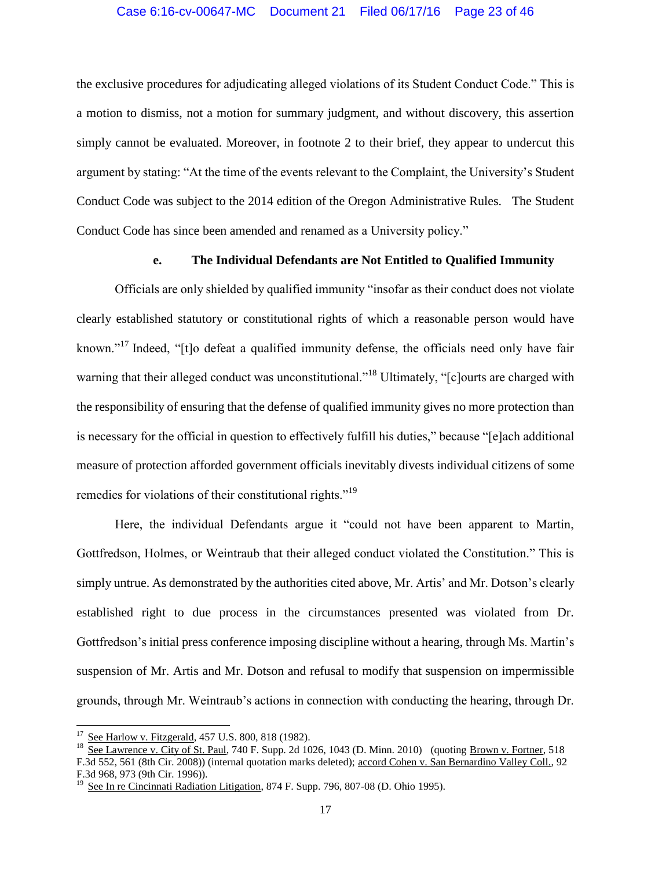the exclusive procedures for adjudicating alleged violations of its Student Conduct Code." This is a motion to dismiss, not a motion for summary judgment, and without discovery, this assertion simply cannot be evaluated. Moreover, in footnote 2 to their brief, they appear to undercut this argument by stating: "At the time of the events relevant to the Complaint, the University's Student Conduct Code was subject to the 2014 edition of the Oregon Administrative Rules. The Student Conduct Code has since been amended and renamed as a University policy."

## **e. The Individual Defendants are Not Entitled to Qualified Immunity**

Officials are only shielded by qualified immunity "insofar as their conduct does not violate clearly established statutory or constitutional rights of which a reasonable person would have known."<sup>17</sup> Indeed, "[t]o defeat a qualified immunity defense, the officials need only have fair warning that their alleged conduct was unconstitutional."<sup>18</sup> Ultimately, "[c]ourts are charged with the responsibility of ensuring that the defense of qualified immunity gives no more protection than is necessary for the official in question to effectively fulfill his duties," because "[e]ach additional measure of protection afforded government officials inevitably divests individual citizens of some remedies for violations of their constitutional rights."<sup>19</sup>

Here, the individual Defendants argue it "could not have been apparent to Martin, Gottfredson, Holmes, or Weintraub that their alleged conduct violated the Constitution." This is simply untrue. As demonstrated by the authorities cited above, Mr. Artis' and Mr. Dotson's clearly established right to due process in the circumstances presented was violated from Dr. Gottfredson's initial press conference imposing discipline without a hearing, through Ms. Martin's suspension of Mr. Artis and Mr. Dotson and refusal to modify that suspension on impermissible grounds, through Mr. Weintraub's actions in connection with conducting the hearing, through Dr.

<sup>&</sup>lt;sup>17</sup> See Harlow v. Fitzgerald, 457 U.S. 800, 818 (1982).

<sup>&</sup>lt;sup>18</sup> See Lawrence v. City of St. Paul, 740 F. Supp. 2d 1026, 1043 (D. Minn. 2010) (quoting Brown v. Fortner, 518 F.3d 552, 561 (8th Cir. 2008)) (internal quotation marks deleted); accord Cohen v. San Bernardino Valley Coll., 92 F.3d 968, 973 (9th Cir. 1996)).

 $19$  See In re Cincinnati Radiation Litigation, 874 F. Supp. 796, 807-08 (D. Ohio 1995).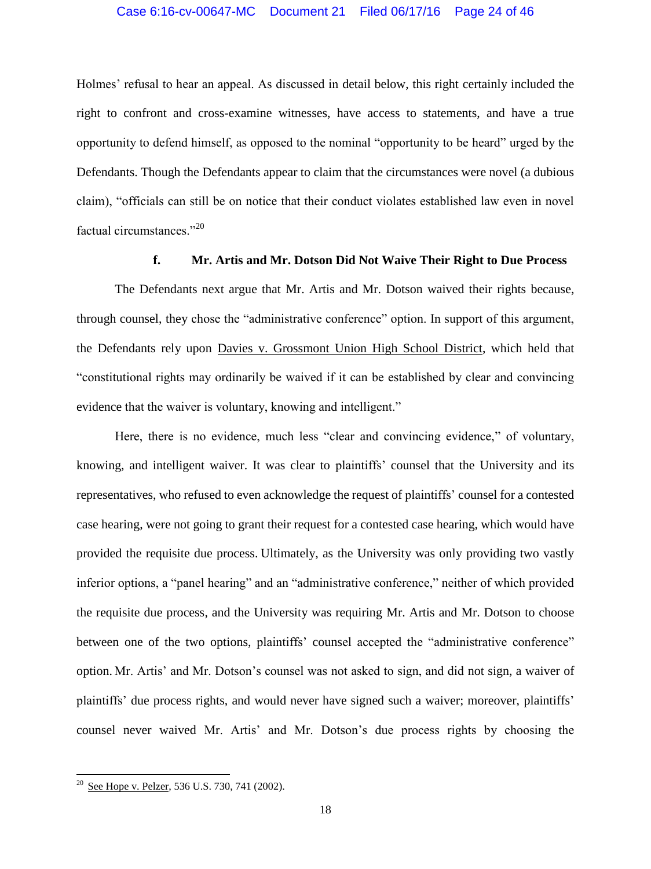Holmes' refusal to hear an appeal. As discussed in detail below, this right certainly included the right to confront and cross-examine witnesses, have access to statements, and have a true opportunity to defend himself, as opposed to the nominal "opportunity to be heard" urged by the Defendants. Though the Defendants appear to claim that the circumstances were novel (a dubious claim), "officials can still be on notice that their conduct violates established law even in novel factual circumstances."<sup>20</sup>

## **f. Mr. Artis and Mr. Dotson Did Not Waive Their Right to Due Process**

The Defendants next argue that Mr. Artis and Mr. Dotson waived their rights because, through counsel, they chose the "administrative conference" option. In support of this argument, the Defendants rely upon Davies v. Grossmont Union High School District, which held that "constitutional rights may ordinarily be waived if it can be established by clear and convincing evidence that the waiver is voluntary, knowing and intelligent."

Here, there is no evidence, much less "clear and convincing evidence," of voluntary, knowing, and intelligent waiver. It was clear to plaintiffs' counsel that the University and its representatives, who refused to even acknowledge the request of plaintiffs' counsel for a contested case hearing, were not going to grant their request for a contested case hearing, which would have provided the requisite due process. Ultimately, as the University was only providing two vastly inferior options, a "panel hearing" and an "administrative conference," neither of which provided the requisite due process, and the University was requiring Mr. Artis and Mr. Dotson to choose between one of the two options, plaintiffs' counsel accepted the "administrative conference" option. Mr. Artis' and Mr. Dotson's counsel was not asked to sign, and did not sign, a waiver of plaintiffs' due process rights, and would never have signed such a waiver; moreover, plaintiffs' counsel never waived Mr. Artis' and Mr. Dotson's due process rights by choosing the

 $20$  See Hope v. Pelzer, 536 U.S. 730, 741 (2002).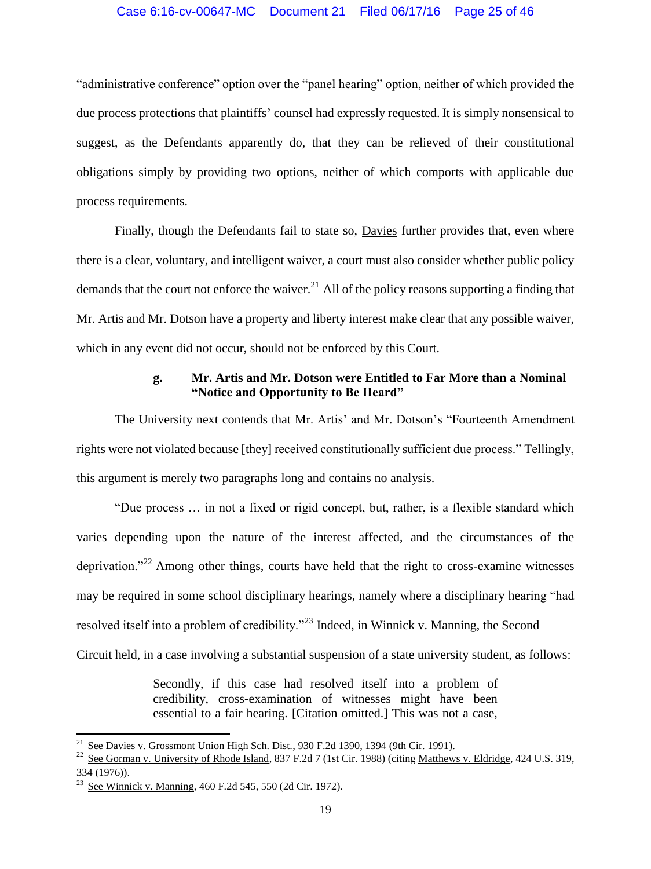## Case 6:16-cv-00647-MC Document 21 Filed 06/17/16 Page 25 of 46

"administrative conference" option over the "panel hearing" option, neither of which provided the due process protections that plaintiffs' counsel had expressly requested. It is simply nonsensical to suggest, as the Defendants apparently do, that they can be relieved of their constitutional obligations simply by providing two options, neither of which comports with applicable due process requirements.

Finally, though the Defendants fail to state so, **Davies** further provides that, even where there is a clear, voluntary, and intelligent waiver, a court must also consider whether public policy demands that the court not enforce the waiver.<sup>21</sup> All of the policy reasons supporting a finding that Mr. Artis and Mr. Dotson have a property and liberty interest make clear that any possible waiver, which in any event did not occur, should not be enforced by this Court.

## **g. Mr. Artis and Mr. Dotson were Entitled to Far More than a Nominal "Notice and Opportunity to Be Heard"**

The University next contends that Mr. Artis' and Mr. Dotson's "Fourteenth Amendment rights were not violated because [they] received constitutionally sufficient due process." Tellingly, this argument is merely two paragraphs long and contains no analysis.

"Due process … in not a fixed or rigid concept, but, rather, is a flexible standard which varies depending upon the nature of the interest affected, and the circumstances of the deprivation."<sup>22</sup> Among other things, courts have held that the right to cross-examine witnesses may be required in some school disciplinary hearings, namely where a disciplinary hearing "had resolved itself into a problem of credibility."<sup>23</sup> Indeed, in Winnick v. Manning, the Second Circuit held, in a case involving a substantial suspension of a state university student, as follows:

> Secondly, if this case had resolved itself into a problem of credibility, cross-examination of witnesses might have been essential to a fair hearing. [Citation omitted.] This was not a case,

l

<sup>&</sup>lt;sup>21</sup> See Davies v. Grossmont Union High Sch. Dist., 930 F.2d 1390, 1394 (9th Cir. 1991).

<sup>&</sup>lt;sup>22</sup> See Gorman v. University of Rhode Island, 837 F.2d 7 (1st Cir. 1988) (citing Matthews v. Eldridge, 424 U.S. 319, 334 (1976)).

<sup>&</sup>lt;sup>23</sup> See Winnick v. Manning, 460 F.2d 545, 550 (2d Cir. 1972).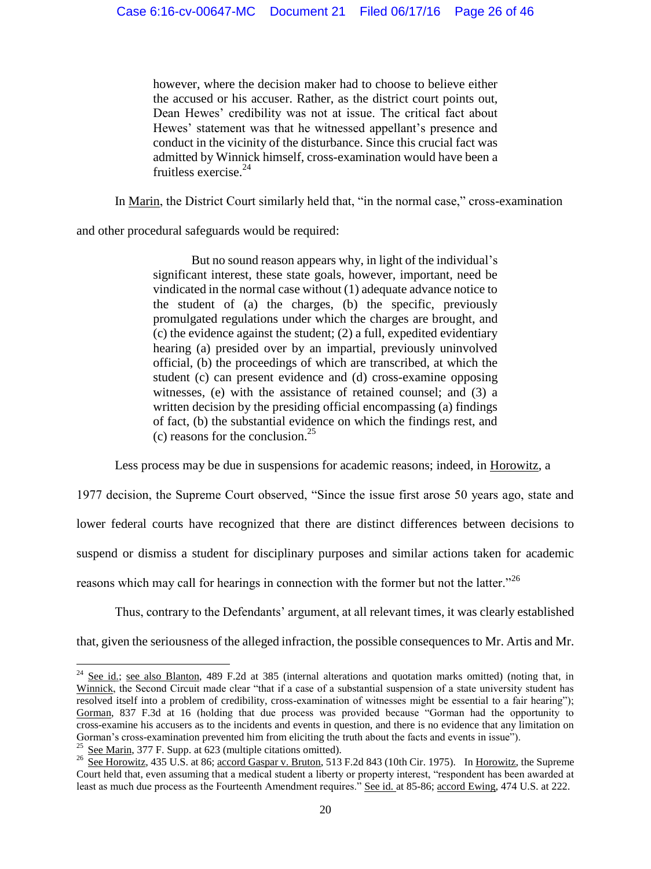however, where the decision maker had to choose to believe either the accused or his accuser. Rather, as the district court points out, Dean Hewes' credibility was not at issue. The critical fact about Hewes' statement was that he witnessed appellant's presence and conduct in the vicinity of the disturbance. Since this crucial fact was admitted by Winnick himself, cross-examination would have been a fruitless exercise.<sup>24</sup>

In Marin, the District Court similarly held that, "in the normal case," cross-examination

and other procedural safeguards would be required:

But no sound reason appears why, in light of the individual's significant interest, these state goals, however, important, need be vindicated in the normal case without (1) adequate advance notice to the student of (a) the charges, (b) the specific, previously promulgated regulations under which the charges are brought, and (c) the evidence against the student; (2) a full, expedited evidentiary hearing (a) presided over by an impartial, previously uninvolved official, (b) the proceedings of which are transcribed, at which the student (c) can present evidence and (d) cross-examine opposing witnesses, (e) with the assistance of retained counsel; and (3) a written decision by the presiding official encompassing (a) findings of fact, (b) the substantial evidence on which the findings rest, and (c) reasons for the conclusion.<sup>25</sup>

Less process may be due in suspensions for academic reasons; indeed, in Horowitz, a

1977 decision, the Supreme Court observed, "Since the issue first arose 50 years ago, state and lower federal courts have recognized that there are distinct differences between decisions to suspend or dismiss a student for disciplinary purposes and similar actions taken for academic reasons which may call for hearings in connection with the former but not the latter."<sup>26</sup>

Thus, contrary to the Defendants' argument, at all relevant times, it was clearly established that, given the seriousness of the alleged infraction, the possible consequences to Mr. Artis and Mr.

<sup>&</sup>lt;sup>24</sup> See id.; see also Blanton, 489 F.2d at 385 (internal alterations and quotation marks omitted) (noting that, in Winnick, the Second Circuit made clear "that if a case of a substantial suspension of a state university student has resolved itself into a problem of credibility, cross-examination of witnesses might be essential to a fair hearing"); Gorman, 837 F.3d at 16 (holding that due process was provided because "Gorman had the opportunity to cross-examine his accusers as to the incidents and events in question, and there is no evidence that any limitation on Gorman's cross-examination prevented him from eliciting the truth about the facts and events in issue").

<sup>&</sup>lt;sup>25</sup> See Marin, 377 F. Supp. at  $623$  (multiple citations omitted).

<sup>&</sup>lt;sup>26</sup> See Horowitz, 435 U.S. at 86; accord Gaspar v. Bruton, 513 F.2d 843 (10th Cir. 1975). In Horowitz, the Supreme Court held that, even assuming that a medical student a liberty or property interest, "respondent has been awarded at least as much due process as the Fourteenth Amendment requires." See id. at 85-86; accord Ewing, 474 U.S. at 222.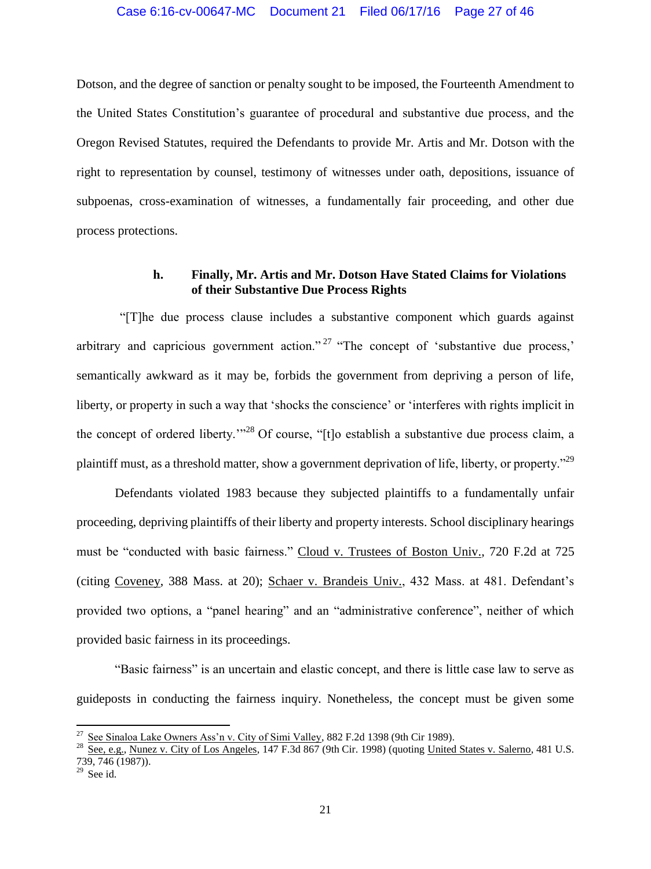### Case 6:16-cv-00647-MC Document 21 Filed 06/17/16 Page 27 of 46

Dotson, and the degree of sanction or penalty sought to be imposed, the Fourteenth Amendment to the United States Constitution's guarantee of procedural and substantive due process, and the Oregon Revised Statutes, required the Defendants to provide Mr. Artis and Mr. Dotson with the right to representation by counsel, testimony of witnesses under oath, depositions, issuance of subpoenas, cross-examination of witnesses, a fundamentally fair proceeding, and other due process protections.

# **h. Finally, Mr. Artis and Mr. Dotson Have Stated Claims for Violations of their Substantive Due Process Rights**

"[T]he due process clause includes a substantive component which guards against arbitrary and capricious government action."<sup>27</sup> "The concept of 'substantive due process,' semantically awkward as it may be, forbids the government from depriving a person of life, liberty, or property in such a way that 'shocks the conscience' or 'interferes with rights implicit in the concept of ordered liberty.'"<sup>28</sup> Of course, "[t]o establish a substantive due process claim, a plaintiff must, as a threshold matter, show a government deprivation of life, liberty, or property."<sup>29</sup>

Defendants violated 1983 because they subjected plaintiffs to a fundamentally unfair proceeding, depriving plaintiffs of their liberty and property interests. School disciplinary hearings must be "conducted with basic fairness." Cloud v. Trustees of Boston Univ., 720 F.2d at 725 (citing Coveney, 388 Mass. at 20); Schaer v. Brandeis Univ., 432 Mass. at 481. Defendant's provided two options, a "panel hearing" and an "administrative conference", neither of which provided basic fairness in its proceedings.

"Basic fairness" is an uncertain and elastic concept, and there is little case law to serve as guideposts in conducting the fairness inquiry. Nonetheless, the concept must be given some

l

 $27$  See Sinaloa Lake Owners Ass'n v. City of Simi Valley, 882 F.2d 1398 (9th Cir 1989).

<sup>&</sup>lt;sup>28</sup> See, e.g., Nunez v. City of Los Angeles, 147 F.3d 867 (9th Cir. 1998) (quoting United States v. Salerno, 481 U.S. 739, 746 (1987)).

 $29$  See id.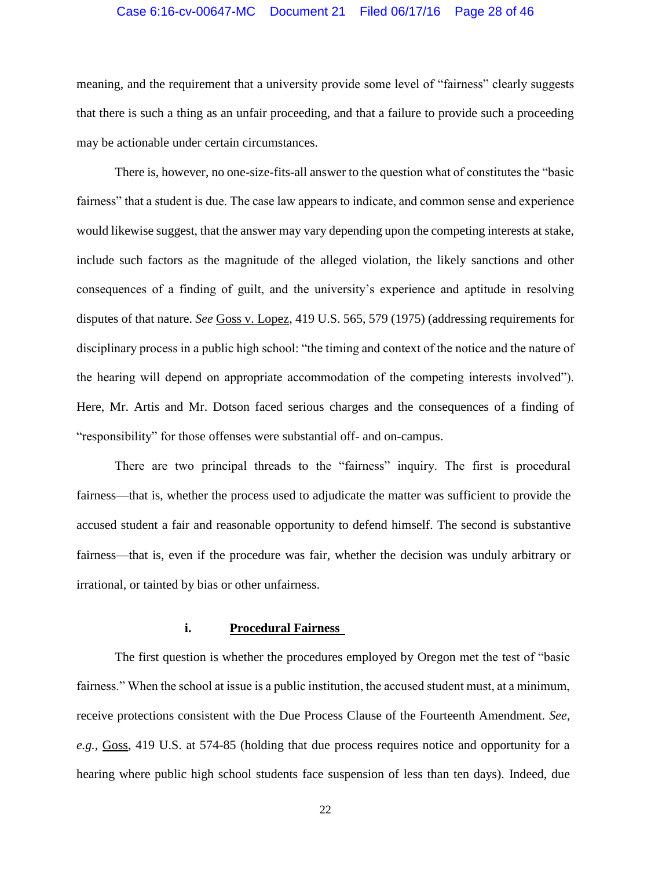#### Case 6:16-cv-00647-MC Document 21 Filed 06/17/16 Page 28 of 46

meaning, and the requirement that a university provide some level of "fairness" clearly suggests that there is such a thing as an unfair proceeding, and that a failure to provide such a proceeding may be actionable under certain circumstances.

There is, however, no one-size-fits-all answer to the question what of constitutes the "basic fairness" that a student is due. The case law appears to indicate, and common sense and experience would likewise suggest, that the answer may vary depending upon the competing interests at stake, include such factors as the magnitude of the alleged violation, the likely sanctions and other consequences of a finding of guilt, and the university's experience and aptitude in resolving disputes of that nature. *See* Goss v. Lopez, 419 U.S. 565, 579 (1975) (addressing requirements for disciplinary process in a public high school: "the timing and context of the notice and the nature of the hearing will depend on appropriate accommodation of the competing interests involved"). Here, Mr. Artis and Mr. Dotson faced serious charges and the consequences of a finding of "responsibility" for those offenses were substantial off- and on-campus.

There are two principal threads to the "fairness" inquiry. The first is procedural fairness—that is, whether the process used to adjudicate the matter was sufficient to provide the accused student a fair and reasonable opportunity to defend himself. The second is substantive fairness—that is, even if the procedure was fair, whether the decision was unduly arbitrary or irrational, or tainted by bias or other unfairness.

## **i. Procedural Fairness**

The first question is whether the procedures employed by Oregon met the test of "basic fairness." When the school at issue is a public institution, the accused student must, at a minimum, receive protections consistent with the Due Process Clause of the Fourteenth Amendment. *See, e.g.*, Goss, 419 U.S. at 574-85 (holding that due process requires notice and opportunity for a hearing where public high school students face suspension of less than ten days). Indeed, due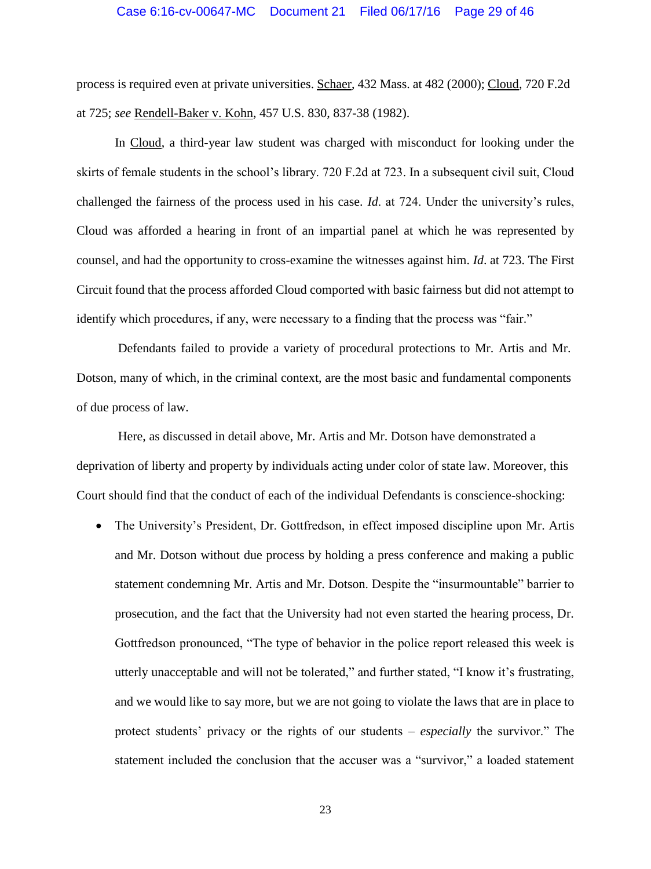#### Case 6:16-cv-00647-MC Document 21 Filed 06/17/16 Page 29 of 46

process is required even at private universities. Schaer, 432 Mass. at 482 (2000); Cloud, 720 F.2d at 725; *see* Rendell-Baker v. Kohn, 457 U.S. 830, 837-38 (1982).

In Cloud, a third-year law student was charged with misconduct for looking under the skirts of female students in the school's library. 720 F.2d at 723. In a subsequent civil suit, Cloud challenged the fairness of the process used in his case. *Id*. at 724. Under the university's rules, Cloud was afforded a hearing in front of an impartial panel at which he was represented by counsel, and had the opportunity to cross-examine the witnesses against him. *Id*. at 723. The First Circuit found that the process afforded Cloud comported with basic fairness but did not attempt to identify which procedures, if any, were necessary to a finding that the process was "fair."

Defendants failed to provide a variety of procedural protections to Mr. Artis and Mr. Dotson, many of which, in the criminal context, are the most basic and fundamental components of due process of law.

Here, as discussed in detail above, Mr. Artis and Mr. Dotson have demonstrated a deprivation of liberty and property by individuals acting under color of state law. Moreover, this Court should find that the conduct of each of the individual Defendants is conscience-shocking:

• The University's President, Dr. Gottfredson, in effect imposed discipline upon Mr. Artis and Mr. Dotson without due process by holding a press conference and making a public statement condemning Mr. Artis and Mr. Dotson. Despite the "insurmountable" barrier to prosecution, and the fact that the University had not even started the hearing process, Dr. Gottfredson pronounced, "The type of behavior in the police report released this week is utterly unacceptable and will not be tolerated," and further stated, "I know it's frustrating, and we would like to say more, but we are not going to violate the laws that are in place to protect students' privacy or the rights of our students – *especially* the survivor." The statement included the conclusion that the accuser was a "survivor," a loaded statement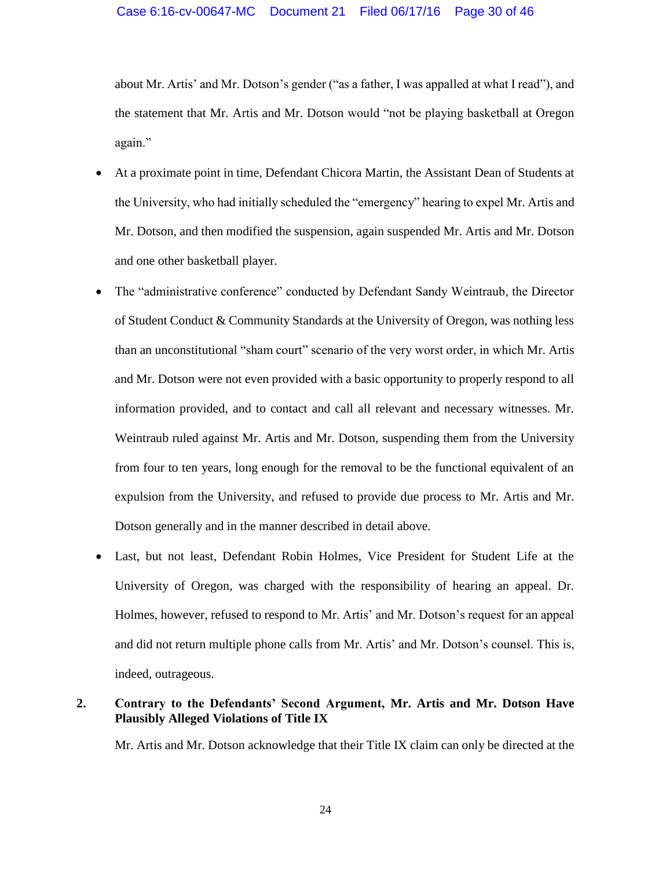about Mr. Artis' and Mr. Dotson's gender ("as a father, I was appalled at what I read"), and the statement that Mr. Artis and Mr. Dotson would "not be playing basketball at Oregon again."

- At a proximate point in time, Defendant Chicora Martin, the Assistant Dean of Students at the University, who had initially scheduled the "emergency" hearing to expel Mr. Artis and Mr. Dotson, and then modified the suspension, again suspended Mr. Artis and Mr. Dotson and one other basketball player.
- The "administrative conference" conducted by Defendant Sandy Weintraub, the Director of Student Conduct & Community Standards at the University of Oregon, was nothing less than an unconstitutional "sham court" scenario of the very worst order, in which Mr. Artis and Mr. Dotson were not even provided with a basic opportunity to properly respond to all information provided, and to contact and call all relevant and necessary witnesses. Mr. Weintraub ruled against Mr. Artis and Mr. Dotson, suspending them from the University from four to ten years, long enough for the removal to be the functional equivalent of an expulsion from the University, and refused to provide due process to Mr. Artis and Mr. Dotson generally and in the manner described in detail above.
- Last, but not least, Defendant Robin Holmes, Vice President for Student Life at the University of Oregon, was charged with the responsibility of hearing an appeal. Dr. Holmes, however, refused to respond to Mr. Artis' and Mr. Dotson's request for an appeal and did not return multiple phone calls from Mr. Artis' and Mr. Dotson's counsel. This is, indeed, outrageous.

# **2. Contrary to the Defendants' Second Argument, Mr. Artis and Mr. Dotson Have Plausibly Alleged Violations of Title IX**

Mr. Artis and Mr. Dotson acknowledge that their Title IX claim can only be directed at the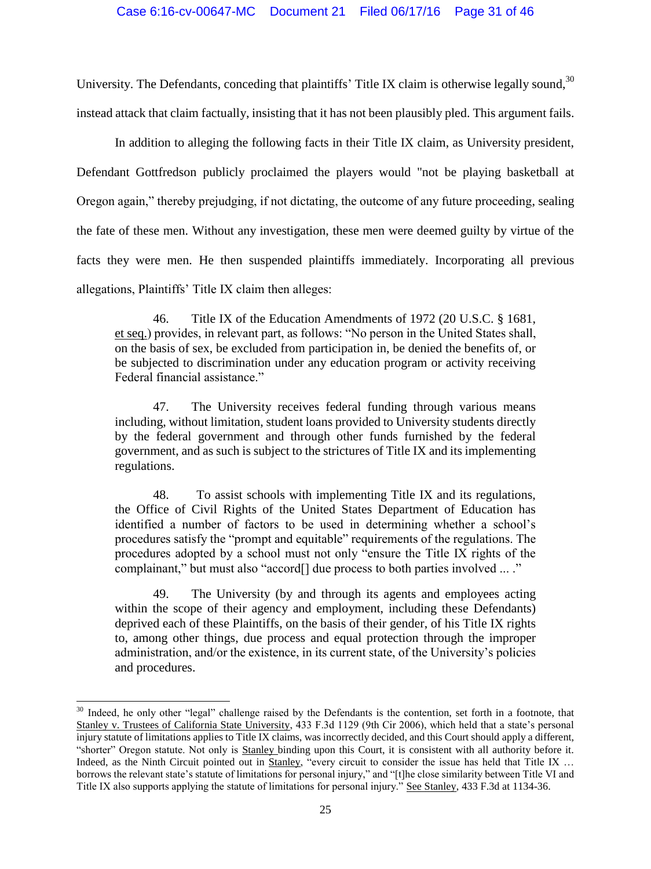University. The Defendants, conceding that plaintiffs' Title IX claim is otherwise legally sound.<sup>30</sup> instead attack that claim factually, insisting that it has not been plausibly pled. This argument fails.

In addition to alleging the following facts in their Title IX claim, as University president, Defendant Gottfredson publicly proclaimed the players would "not be playing basketball at Oregon again," thereby prejudging, if not dictating, the outcome of any future proceeding, sealing the fate of these men. Without any investigation, these men were deemed guilty by virtue of the facts they were men. He then suspended plaintiffs immediately. Incorporating all previous allegations, Plaintiffs' Title IX claim then alleges:

46. Title IX of the Education Amendments of 1972 (20 U.S.C. § 1681, et seq.) provides, in relevant part, as follows: "No person in the United States shall, on the basis of sex, be excluded from participation in, be denied the benefits of, or be subjected to discrimination under any education program or activity receiving Federal financial assistance."

47. The University receives federal funding through various means including, without limitation, student loans provided to University students directly by the federal government and through other funds furnished by the federal government, and as such is subject to the strictures of Title IX and its implementing regulations.

48. To assist schools with implementing Title IX and its regulations, the Office of Civil Rights of the United States Department of Education has identified a number of factors to be used in determining whether a school's procedures satisfy the "prompt and equitable" requirements of the regulations. The procedures adopted by a school must not only "ensure the Title IX rights of the complainant," but must also "accord[] due process to both parties involved ... ."

49. The University (by and through its agents and employees acting within the scope of their agency and employment, including these Defendants) deprived each of these Plaintiffs, on the basis of their gender, of his Title IX rights to, among other things, due process and equal protection through the improper administration, and/or the existence, in its current state, of the University's policies and procedures.

<sup>&</sup>lt;sup>30</sup> Indeed, he only other "legal" challenge raised by the Defendants is the contention, set forth in a footnote, that Stanley v. Trustees of California State University, 433 F.3d 1129 (9th Cir 2006), which held that a state's personal injury statute of limitations applies to Title IX claims, was incorrectly decided, and this Court should apply a different, "shorter" Oregon statute. Not only is Stanley binding upon this Court, it is consistent with all authority before it. Indeed, as the Ninth Circuit pointed out in Stanley, "every circuit to consider the issue has held that Title IX ... borrows the relevant state's statute of limitations for personal injury," and "[t]he close similarity between Title VI and Title IX also supports applying the statute of limitations for personal injury." See Stanley, 433 F.3d at 1134-36.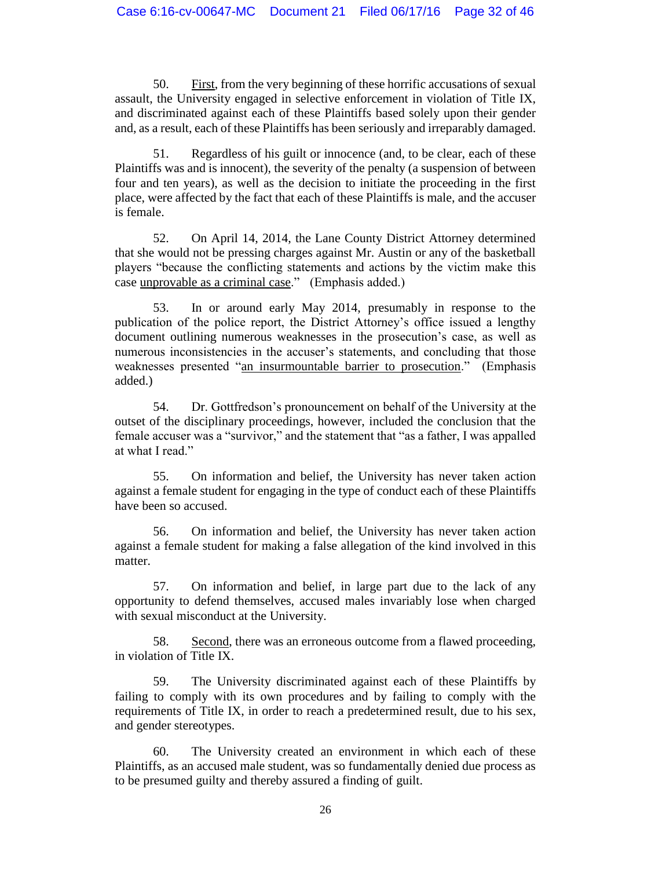50. First, from the very beginning of these horrific accusations of sexual assault, the University engaged in selective enforcement in violation of Title IX, and discriminated against each of these Plaintiffs based solely upon their gender and, as a result, each of these Plaintiffs has been seriously and irreparably damaged.

51. Regardless of his guilt or innocence (and, to be clear, each of these Plaintiffs was and is innocent), the severity of the penalty (a suspension of between four and ten years), as well as the decision to initiate the proceeding in the first place, were affected by the fact that each of these Plaintiffs is male, and the accuser is female.

52. On April 14, 2014, the Lane County District Attorney determined that she would not be pressing charges against Mr. Austin or any of the basketball players "because the conflicting statements and actions by the victim make this case unprovable as a criminal case." (Emphasis added.)

53. In or around early May 2014, presumably in response to the publication of the police report, the District Attorney's office issued a lengthy document outlining numerous weaknesses in the prosecution's case, as well as numerous inconsistencies in the accuser's statements, and concluding that those weaknesses presented "an insurmountable barrier to prosecution." (Emphasis added.)

54. Dr. Gottfredson's pronouncement on behalf of the University at the outset of the disciplinary proceedings, however, included the conclusion that the female accuser was a "survivor," and the statement that "as a father, I was appalled at what I read."

55. On information and belief, the University has never taken action against a female student for engaging in the type of conduct each of these Plaintiffs have been so accused.

56. On information and belief, the University has never taken action against a female student for making a false allegation of the kind involved in this matter.

57. On information and belief, in large part due to the lack of any opportunity to defend themselves, accused males invariably lose when charged with sexual misconduct at the University.

58. Second, there was an erroneous outcome from a flawed proceeding, in violation of Title IX.

59. The University discriminated against each of these Plaintiffs by failing to comply with its own procedures and by failing to comply with the requirements of Title IX, in order to reach a predetermined result, due to his sex, and gender stereotypes.

60. The University created an environment in which each of these Plaintiffs, as an accused male student, was so fundamentally denied due process as to be presumed guilty and thereby assured a finding of guilt.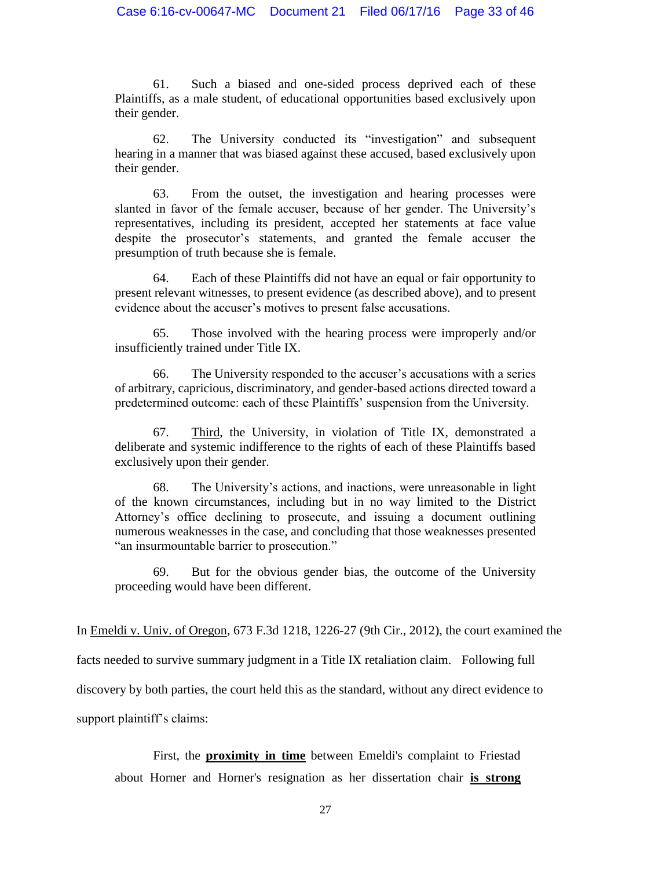61. Such a biased and one-sided process deprived each of these Plaintiffs, as a male student, of educational opportunities based exclusively upon their gender.

62. The University conducted its "investigation" and subsequent hearing in a manner that was biased against these accused, based exclusively upon their gender.

63. From the outset, the investigation and hearing processes were slanted in favor of the female accuser, because of her gender. The University's representatives, including its president, accepted her statements at face value despite the prosecutor's statements, and granted the female accuser the presumption of truth because she is female.

64. Each of these Plaintiffs did not have an equal or fair opportunity to present relevant witnesses, to present evidence (as described above), and to present evidence about the accuser's motives to present false accusations.

65. Those involved with the hearing process were improperly and/or insufficiently trained under Title IX.

66. The University responded to the accuser's accusations with a series of arbitrary, capricious, discriminatory, and gender-based actions directed toward a predetermined outcome: each of these Plaintiffs' suspension from the University.

67. Third, the University, in violation of Title IX, demonstrated a deliberate and systemic indifference to the rights of each of these Plaintiffs based exclusively upon their gender.

68. The University's actions, and inactions, were unreasonable in light of the known circumstances, including but in no way limited to the District Attorney's office declining to prosecute, and issuing a document outlining numerous weaknesses in the case, and concluding that those weaknesses presented "an insurmountable barrier to prosecution."

69. But for the obvious gender bias, the outcome of the University proceeding would have been different.

In Emeldi v. Univ. of Oregon, 673 F.3d 1218, 1226-27 (9th Cir., 2012), the court examined the

facts needed to survive summary judgment in a Title IX retaliation claim. Following full

discovery by both parties, the court held this as the standard, without any direct evidence to

support plaintiff's claims:

First, the **proximity in time** between Emeldi's complaint to Friestad about Horner and Horner's resignation as her dissertation chair **is strong**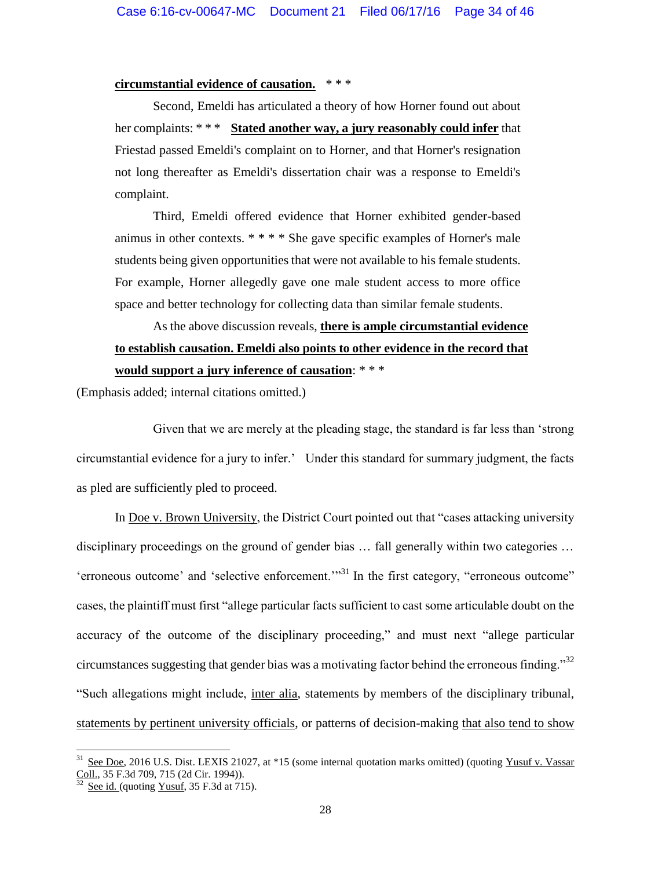#### **circumstantial evidence of causation.** \* \* \*

Second, Emeldi has articulated a theory of how Horner found out about her complaints: \* \* \* **Stated another way, a jury reasonably could infer** that Friestad passed Emeldi's complaint on to Horner, and that Horner's resignation not long thereafter as Emeldi's dissertation chair was a response to Emeldi's complaint.

Third, Emeldi offered evidence that Horner exhibited gender-based animus in other contexts. \* \* \* \* She gave specific examples of Horner's male students being given opportunities that were not available to his female students. For example, Horner allegedly gave one male student access to more office space and better technology for collecting data than similar female students.

# As the above discussion reveals, **there is ample circumstantial evidence to establish causation. Emeldi also points to other evidence in the record that would support a jury inference of causation**: \* \* \*

(Emphasis added; internal citations omitted.)

Given that we are merely at the pleading stage, the standard is far less than 'strong circumstantial evidence for a jury to infer.' Under this standard for summary judgment, the facts as pled are sufficiently pled to proceed.

In Doe v. Brown University, the District Court pointed out that "cases attacking university disciplinary proceedings on the ground of gender bias … fall generally within two categories … 'erroneous outcome' and 'selective enforcement.'"<sup>31</sup> In the first category, "erroneous outcome" cases, the plaintiff must first "allege particular facts sufficient to cast some articulable doubt on the accuracy of the outcome of the disciplinary proceeding," and must next "allege particular circumstances suggesting that gender bias was a motivating factor behind the erroneous finding."<sup>32</sup> "Such allegations might include, inter alia, statements by members of the disciplinary tribunal, statements by pertinent university officials, or patterns of decision-making that also tend to show

l

 $31$  See Doe, 2016 U.S. Dist. LEXIS 21027, at \*15 (some internal quotation marks omitted) (quoting Yusuf v. Vassar Coll., 35 F.3d 709, 715 (2d Cir. 1994)).

See id. (quoting Yusuf,  $35$  F.3d at  $715$ ).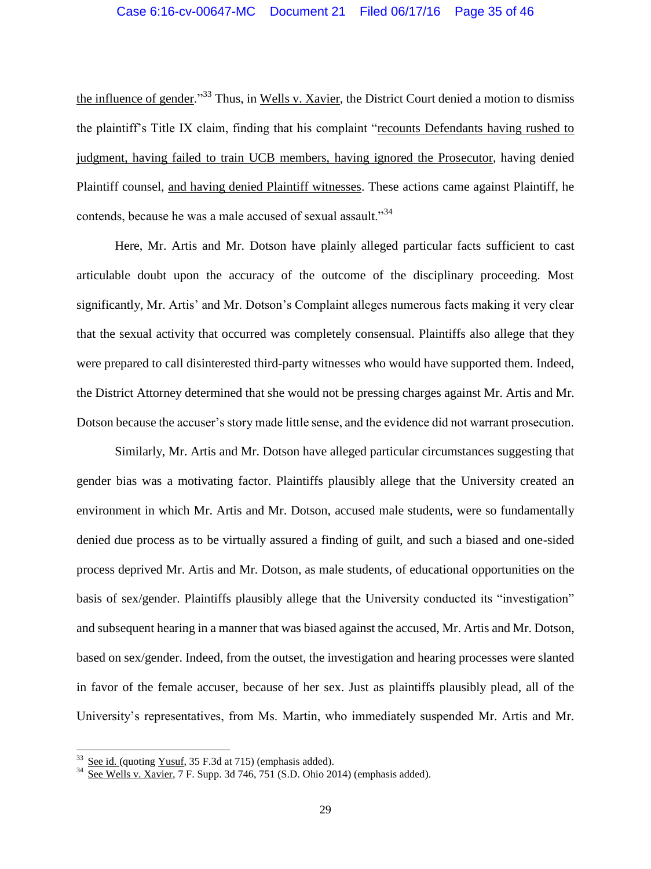the influence of gender."<sup>33</sup> Thus, in Wells v. Xavier, the District Court denied a motion to dismiss the plaintiff's Title IX claim, finding that his complaint "recounts Defendants having rushed to judgment, having failed to train UCB members, having ignored the Prosecutor, having denied Plaintiff counsel, and having denied Plaintiff witnesses. These actions came against Plaintiff, he contends, because he was a male accused of sexual assault."<sup>34</sup>

Here, Mr. Artis and Mr. Dotson have plainly alleged particular facts sufficient to cast articulable doubt upon the accuracy of the outcome of the disciplinary proceeding. Most significantly, Mr. Artis' and Mr. Dotson's Complaint alleges numerous facts making it very clear that the sexual activity that occurred was completely consensual. Plaintiffs also allege that they were prepared to call disinterested third-party witnesses who would have supported them. Indeed, the District Attorney determined that she would not be pressing charges against Mr. Artis and Mr. Dotson because the accuser's story made little sense, and the evidence did not warrant prosecution.

Similarly, Mr. Artis and Mr. Dotson have alleged particular circumstances suggesting that gender bias was a motivating factor. Plaintiffs plausibly allege that the University created an environment in which Mr. Artis and Mr. Dotson, accused male students, were so fundamentally denied due process as to be virtually assured a finding of guilt, and such a biased and one-sided process deprived Mr. Artis and Mr. Dotson, as male students, of educational opportunities on the basis of sex/gender. Plaintiffs plausibly allege that the University conducted its "investigation" and subsequent hearing in a manner that was biased against the accused, Mr. Artis and Mr. Dotson, based on sex/gender. Indeed, from the outset, the investigation and hearing processes were slanted in favor of the female accuser, because of her sex. Just as plaintiffs plausibly plead, all of the University's representatives, from Ms. Martin, who immediately suspended Mr. Artis and Mr.

See id. (quoting Yusuf, 35 F.3d at 715) (emphasis added).

 $34$  See Rells v. Xavier, 7 F. Supp. 3d 746, 751 (S.D. Ohio 2014) (emphasis added).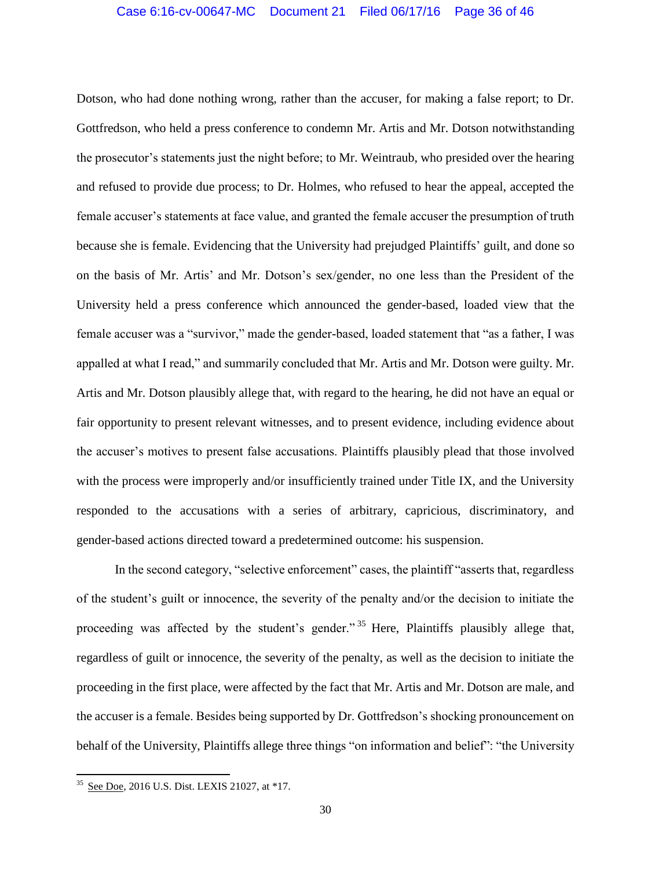Dotson, who had done nothing wrong, rather than the accuser, for making a false report; to Dr. Gottfredson, who held a press conference to condemn Mr. Artis and Mr. Dotson notwithstanding the prosecutor's statements just the night before; to Mr. Weintraub, who presided over the hearing and refused to provide due process; to Dr. Holmes, who refused to hear the appeal, accepted the female accuser's statements at face value, and granted the female accuser the presumption of truth because she is female. Evidencing that the University had prejudged Plaintiffs' guilt, and done so on the basis of Mr. Artis' and Mr. Dotson's sex/gender, no one less than the President of the University held a press conference which announced the gender-based, loaded view that the female accuser was a "survivor," made the gender-based, loaded statement that "as a father, I was appalled at what I read," and summarily concluded that Mr. Artis and Mr. Dotson were guilty. Mr. Artis and Mr. Dotson plausibly allege that, with regard to the hearing, he did not have an equal or fair opportunity to present relevant witnesses, and to present evidence, including evidence about the accuser's motives to present false accusations. Plaintiffs plausibly plead that those involved with the process were improperly and/or insufficiently trained under Title IX, and the University responded to the accusations with a series of arbitrary, capricious, discriminatory, and gender-based actions directed toward a predetermined outcome: his suspension.

In the second category, "selective enforcement" cases, the plaintiff "asserts that, regardless of the student's guilt or innocence, the severity of the penalty and/or the decision to initiate the proceeding was affected by the student's gender."  $35$  Here, Plaintiffs plausibly allege that, regardless of guilt or innocence, the severity of the penalty, as well as the decision to initiate the proceeding in the first place, were affected by the fact that Mr. Artis and Mr. Dotson are male, and the accuser is a female. Besides being supported by Dr. Gottfredson's shocking pronouncement on behalf of the University, Plaintiffs allege three things "on information and belief": "the University

 $35$  See Doe, 2016 U.S. Dist. LEXIS 21027, at  $*17$ .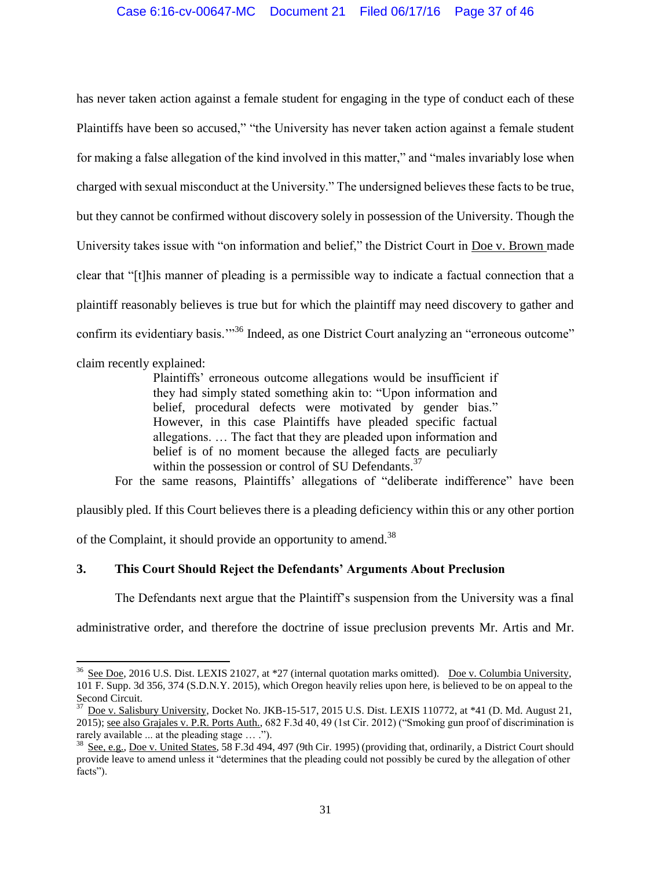has never taken action against a female student for engaging in the type of conduct each of these Plaintiffs have been so accused," "the University has never taken action against a female student for making a false allegation of the kind involved in this matter," and "males invariably lose when charged with sexual misconduct at the University." The undersigned believes these facts to be true, but they cannot be confirmed without discovery solely in possession of the University. Though the University takes issue with "on information and belief," the District Court in <u>Doe v. Brown</u> made clear that "[t]his manner of pleading is a permissible way to indicate a factual connection that a plaintiff reasonably believes is true but for which the plaintiff may need discovery to gather and confirm its evidentiary basis."<sup>36</sup> Indeed, as one District Court analyzing an "erroneous outcome"

claim recently explained:

 $\overline{\phantom{a}}$ 

Plaintiffs' erroneous outcome allegations would be insufficient if they had simply stated something akin to: "Upon information and belief, procedural defects were motivated by gender bias." However, in this case Plaintiffs have pleaded specific factual allegations. … The fact that they are pleaded upon information and belief is of no moment because the alleged facts are peculiarly within the possession or control of SU Defendants.<sup>37</sup>

For the same reasons, Plaintiffs' allegations of "deliberate indifference" have been

plausibly pled. If this Court believes there is a pleading deficiency within this or any other portion

of the Complaint, it should provide an opportunity to amend.<sup>38</sup>

## **3. This Court Should Reject the Defendants' Arguments About Preclusion**

The Defendants next argue that the Plaintiff's suspension from the University was a final

administrative order, and therefore the doctrine of issue preclusion prevents Mr. Artis and Mr.

 $36$  See Doe, 2016 U.S. Dist. LEXIS 21027, at \*27 (internal quotation marks omitted). Doe v. Columbia University, 101 F. Supp. 3d 356, 374 (S.D.N.Y. 2015), which Oregon heavily relies upon here, is believed to be on appeal to the Second Circuit.

<sup>&</sup>lt;sup>37</sup> Doe v. Salisbury University, Docket No. JKB-15-517, 2015 U.S. Dist. LEXIS 110772, at \*41 (D. Md. August 21, 2015); see also Grajales v. P.R. Ports Auth., 682 F.3d 40, 49 (1st Cir. 2012) ("Smoking gun proof of discrimination is rarely available ... at the pleading stage … .").

<sup>&</sup>lt;sup>38</sup> See, e.g., Doe v. United States, 58 F.3d 494, 497 (9th Cir. 1995) (providing that, ordinarily, a District Court should provide leave to amend unless it "determines that the pleading could not possibly be cured by the allegation of other facts").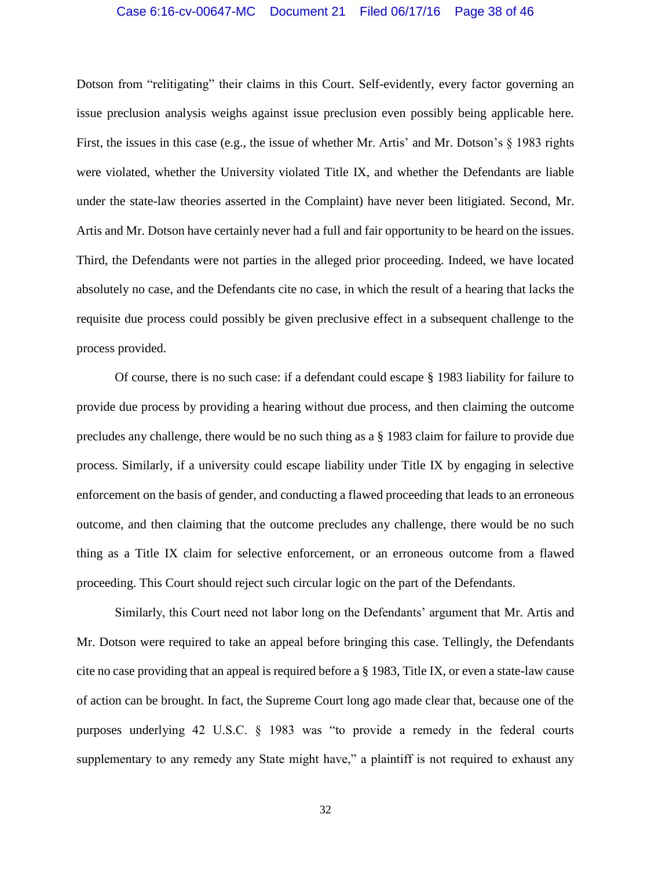#### Case 6:16-cv-00647-MC Document 21 Filed 06/17/16 Page 38 of 46

Dotson from "relitigating" their claims in this Court. Self-evidently, every factor governing an issue preclusion analysis weighs against issue preclusion even possibly being applicable here. First, the issues in this case (e.g., the issue of whether Mr. Artis' and Mr. Dotson's § 1983 rights were violated, whether the University violated Title IX, and whether the Defendants are liable under the state-law theories asserted in the Complaint) have never been litigiated. Second, Mr. Artis and Mr. Dotson have certainly never had a full and fair opportunity to be heard on the issues. Third, the Defendants were not parties in the alleged prior proceeding. Indeed, we have located absolutely no case, and the Defendants cite no case, in which the result of a hearing that lacks the requisite due process could possibly be given preclusive effect in a subsequent challenge to the process provided.

Of course, there is no such case: if a defendant could escape § 1983 liability for failure to provide due process by providing a hearing without due process, and then claiming the outcome precludes any challenge, there would be no such thing as a § 1983 claim for failure to provide due process. Similarly, if a university could escape liability under Title IX by engaging in selective enforcement on the basis of gender, and conducting a flawed proceeding that leads to an erroneous outcome, and then claiming that the outcome precludes any challenge, there would be no such thing as a Title IX claim for selective enforcement, or an erroneous outcome from a flawed proceeding. This Court should reject such circular logic on the part of the Defendants.

Similarly, this Court need not labor long on the Defendants' argument that Mr. Artis and Mr. Dotson were required to take an appeal before bringing this case. Tellingly, the Defendants cite no case providing that an appeal is required before a § 1983, Title IX, or even a state-law cause of action can be brought. In fact, the Supreme Court long ago made clear that, because one of the purposes underlying 42 U.S.C. § 1983 was "to provide a remedy in the federal courts supplementary to any remedy any State might have," a plaintiff is not required to exhaust any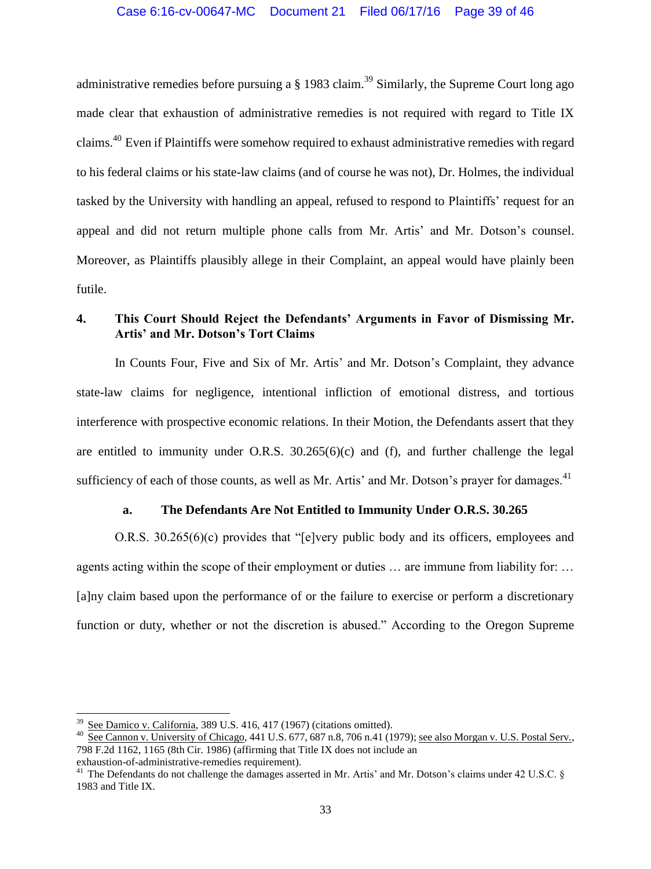administrative remedies before pursuing a  $\S$  1983 claim.<sup>39</sup> Similarly, the Supreme Court long ago made clear that exhaustion of administrative remedies is not required with regard to Title IX claims.<sup>40</sup> Even if Plaintiffs were somehow required to exhaust administrative remedies with regard to his federal claims or his state-law claims (and of course he was not), Dr. Holmes, the individual tasked by the University with handling an appeal, refused to respond to Plaintiffs' request for an appeal and did not return multiple phone calls from Mr. Artis' and Mr. Dotson's counsel. Moreover, as Plaintiffs plausibly allege in their Complaint, an appeal would have plainly been futile.

## **4. This Court Should Reject the Defendants' Arguments in Favor of Dismissing Mr. Artis' and Mr. Dotson's Tort Claims**

In Counts Four, Five and Six of Mr. Artis' and Mr. Dotson's Complaint, they advance state-law claims for negligence, intentional infliction of emotional distress, and tortious interference with prospective economic relations. In their Motion, the Defendants assert that they are entitled to immunity under O.R.S. 30.265(6)(c) and (f), and further challenge the legal sufficiency of each of those counts, as well as Mr. Artis' and Mr. Dotson's prayer for damages. $41$ 

## **a. The Defendants Are Not Entitled to Immunity Under O.R.S. 30.265**

O.R.S. 30.265(6)(c) provides that "[e]very public body and its officers, employees and agents acting within the scope of their employment or duties … are immune from liability for: … [a]ny claim based upon the performance of or the failure to exercise or perform a discretionary function or duty, whether or not the discretion is abused." According to the Oregon Supreme

exhaustion-of-administrative-remedies requirement).

 $\overline{a}$ 

 $39$  See Damico v. California, 389 U.S. 416, 417 (1967) (citations omitted).

<sup>&</sup>lt;sup>40</sup> See Cannon v. University of Chicago, 441 U.S. 677, 687 n.8, 706 n.41 (1979); <u>see also Morgan v. U.S. Postal Serv.</u>, 798 F.2d 1162, 1165 (8th Cir. 1986) (affirming that Title IX does not include an

<sup>&</sup>lt;sup>41</sup> The Defendants do not challenge the damages asserted in Mr. Artis' and Mr. Dotson's claims under 42 U.S.C. § 1983 and Title IX.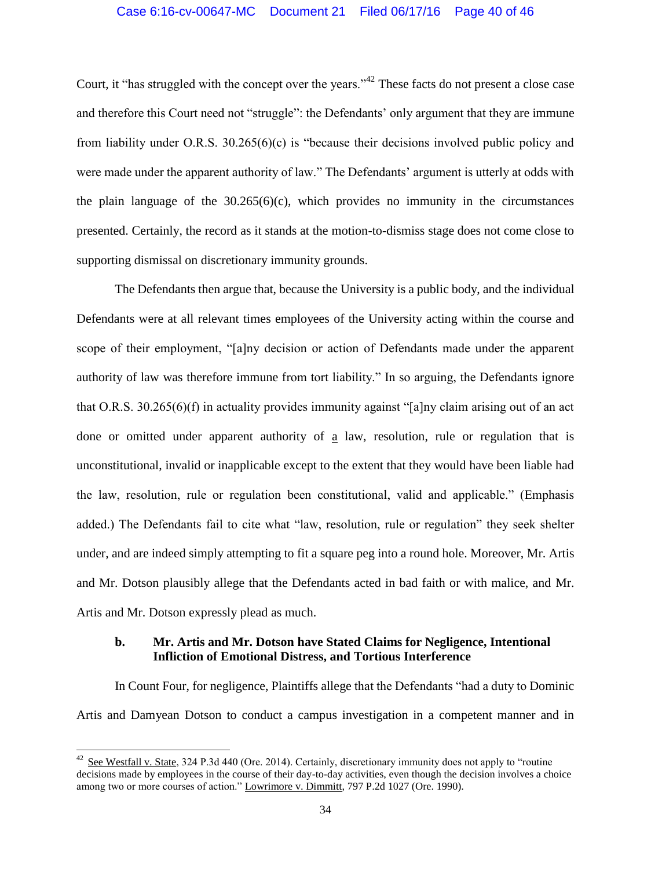#### Case 6:16-cv-00647-MC Document 21 Filed 06/17/16 Page 40 of 46

Court, it "has struggled with the concept over the years."<sup>42</sup> These facts do not present a close case and therefore this Court need not "struggle": the Defendants' only argument that they are immune from liability under O.R.S. 30.265(6)(c) is "because their decisions involved public policy and were made under the apparent authority of law." The Defendants' argument is utterly at odds with the plain language of the  $30.265(6)(c)$ , which provides no immunity in the circumstances presented. Certainly, the record as it stands at the motion-to-dismiss stage does not come close to supporting dismissal on discretionary immunity grounds.

The Defendants then argue that, because the University is a public body, and the individual Defendants were at all relevant times employees of the University acting within the course and scope of their employment, "[a]ny decision or action of Defendants made under the apparent authority of law was therefore immune from tort liability." In so arguing, the Defendants ignore that O.R.S. 30.265(6)(f) in actuality provides immunity against "[a]ny claim arising out of an act done or omitted under apparent authority of a law, resolution, rule or regulation that is unconstitutional, invalid or inapplicable except to the extent that they would have been liable had the law, resolution, rule or regulation been constitutional, valid and applicable." (Emphasis added.) The Defendants fail to cite what "law, resolution, rule or regulation" they seek shelter under, and are indeed simply attempting to fit a square peg into a round hole. Moreover, Mr. Artis and Mr. Dotson plausibly allege that the Defendants acted in bad faith or with malice, and Mr. Artis and Mr. Dotson expressly plead as much.

## **b. Mr. Artis and Mr. Dotson have Stated Claims for Negligence, Intentional Infliction of Emotional Distress, and Tortious Interference**

In Count Four, for negligence, Plaintiffs allege that the Defendants "had a duty to Dominic Artis and Damyean Dotson to conduct a campus investigation in a competent manner and in

l

<sup>&</sup>lt;sup>42</sup> See Westfall v. State,  $324$  P.3d 440 (Ore. 2014). Certainly, discretionary immunity does not apply to "routine" decisions made by employees in the course of their day-to-day activities, even though the decision involves a choice among two or more courses of action." Lowrimore v. Dimmitt, 797 P.2d 1027 (Ore. 1990).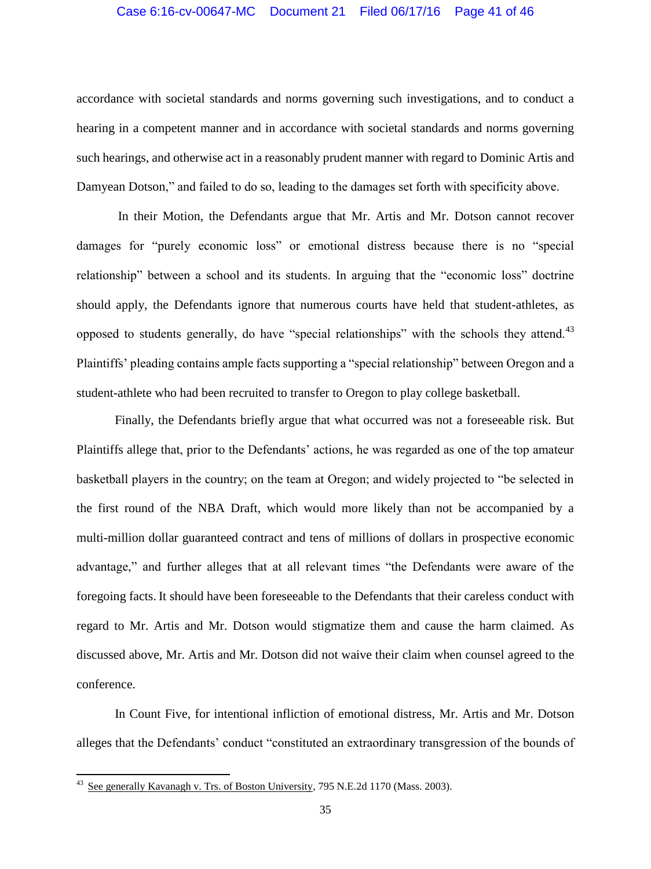#### Case 6:16-cv-00647-MC Document 21 Filed 06/17/16 Page 41 of 46

accordance with societal standards and norms governing such investigations, and to conduct a hearing in a competent manner and in accordance with societal standards and norms governing such hearings, and otherwise act in a reasonably prudent manner with regard to Dominic Artis and Damyean Dotson," and failed to do so, leading to the damages set forth with specificity above.

In their Motion, the Defendants argue that Mr. Artis and Mr. Dotson cannot recover damages for "purely economic loss" or emotional distress because there is no "special relationship" between a school and its students. In arguing that the "economic loss" doctrine should apply, the Defendants ignore that numerous courts have held that student-athletes, as opposed to students generally, do have "special relationships" with the schools they attend.<sup>43</sup> Plaintiffs' pleading contains ample facts supporting a "special relationship" between Oregon and a student-athlete who had been recruited to transfer to Oregon to play college basketball.

Finally, the Defendants briefly argue that what occurred was not a foreseeable risk. But Plaintiffs allege that, prior to the Defendants' actions, he was regarded as one of the top amateur basketball players in the country; on the team at Oregon; and widely projected to "be selected in the first round of the NBA Draft, which would more likely than not be accompanied by a multi-million dollar guaranteed contract and tens of millions of dollars in prospective economic advantage," and further alleges that at all relevant times "the Defendants were aware of the foregoing facts. It should have been foreseeable to the Defendants that their careless conduct with regard to Mr. Artis and Mr. Dotson would stigmatize them and cause the harm claimed. As discussed above, Mr. Artis and Mr. Dotson did not waive their claim when counsel agreed to the conference.

In Count Five, for intentional infliction of emotional distress, Mr. Artis and Mr. Dotson alleges that the Defendants' conduct "constituted an extraordinary transgression of the bounds of

 $^{43}$  See generally Kavanagh v. Trs. of Boston University, 795 N.E.2d 1170 (Mass. 2003).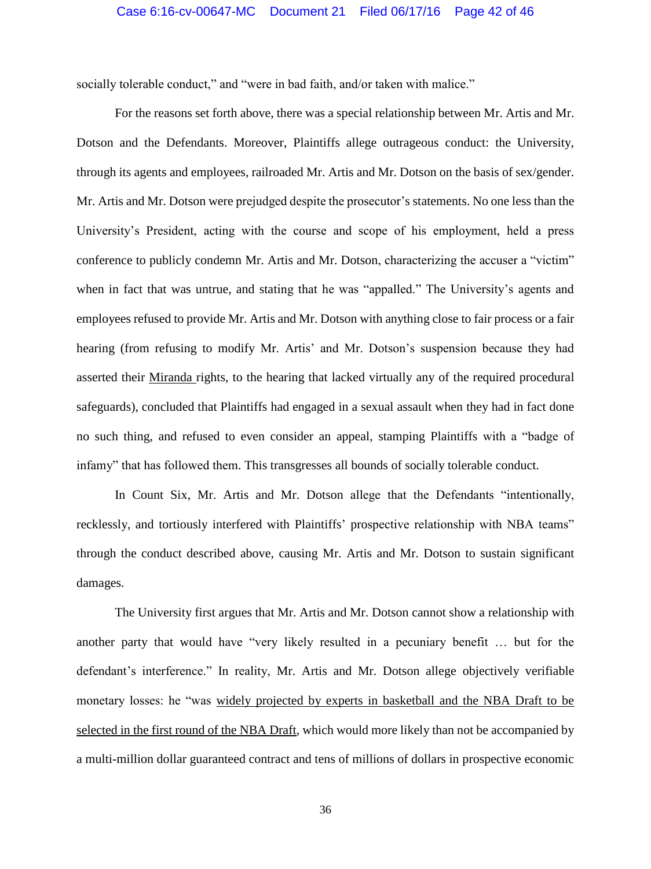socially tolerable conduct," and "were in bad faith, and/or taken with malice."

For the reasons set forth above, there was a special relationship between Mr. Artis and Mr. Dotson and the Defendants. Moreover, Plaintiffs allege outrageous conduct: the University, through its agents and employees, railroaded Mr. Artis and Mr. Dotson on the basis of sex/gender. Mr. Artis and Mr. Dotson were prejudged despite the prosecutor's statements. No one less than the University's President, acting with the course and scope of his employment, held a press conference to publicly condemn Mr. Artis and Mr. Dotson, characterizing the accuser a "victim" when in fact that was untrue, and stating that he was "appalled." The University's agents and employees refused to provide Mr. Artis and Mr. Dotson with anything close to fair process or a fair hearing (from refusing to modify Mr. Artis' and Mr. Dotson's suspension because they had asserted their Miranda rights, to the hearing that lacked virtually any of the required procedural safeguards), concluded that Plaintiffs had engaged in a sexual assault when they had in fact done no such thing, and refused to even consider an appeal, stamping Plaintiffs with a "badge of infamy" that has followed them. This transgresses all bounds of socially tolerable conduct.

In Count Six, Mr. Artis and Mr. Dotson allege that the Defendants "intentionally, recklessly, and tortiously interfered with Plaintiffs' prospective relationship with NBA teams" through the conduct described above, causing Mr. Artis and Mr. Dotson to sustain significant damages.

The University first argues that Mr. Artis and Mr. Dotson cannot show a relationship with another party that would have "very likely resulted in a pecuniary benefit … but for the defendant's interference." In reality, Mr. Artis and Mr. Dotson allege objectively verifiable monetary losses: he "was widely projected by experts in basketball and the NBA Draft to be selected in the first round of the NBA Draft, which would more likely than not be accompanied by a multi-million dollar guaranteed contract and tens of millions of dollars in prospective economic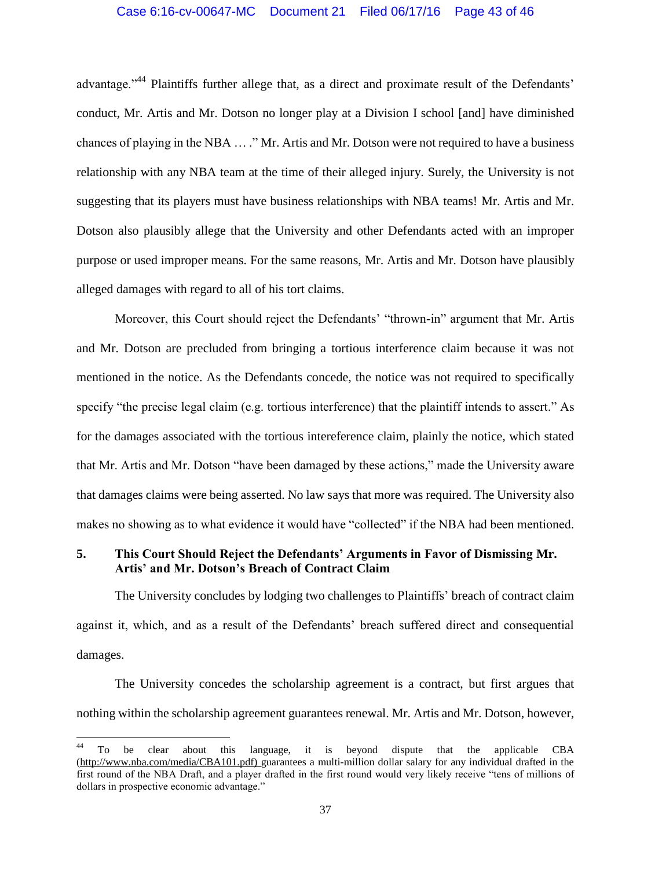#### Case 6:16-cv-00647-MC Document 21 Filed 06/17/16 Page 43 of 46

advantage."<sup>44</sup> Plaintiffs further allege that, as a direct and proximate result of the Defendants' conduct, Mr. Artis and Mr. Dotson no longer play at a Division I school [and] have diminished chances of playing in the NBA … ." Mr. Artis and Mr. Dotson were not required to have a business relationship with any NBA team at the time of their alleged injury. Surely, the University is not suggesting that its players must have business relationships with NBA teams! Mr. Artis and Mr. Dotson also plausibly allege that the University and other Defendants acted with an improper purpose or used improper means. For the same reasons, Mr. Artis and Mr. Dotson have plausibly alleged damages with regard to all of his tort claims.

Moreover, this Court should reject the Defendants' "thrown-in" argument that Mr. Artis and Mr. Dotson are precluded from bringing a tortious interference claim because it was not mentioned in the notice. As the Defendants concede, the notice was not required to specifically specify "the precise legal claim (e.g. tortious interference) that the plaintiff intends to assert." As for the damages associated with the tortious intereference claim, plainly the notice, which stated that Mr. Artis and Mr. Dotson "have been damaged by these actions," made the University aware that damages claims were being asserted. No law says that more was required. The University also makes no showing as to what evidence it would have "collected" if the NBA had been mentioned.

## **5. This Court Should Reject the Defendants' Arguments in Favor of Dismissing Mr. Artis' and Mr. Dotson's Breach of Contract Claim**

The University concludes by lodging two challenges to Plaintiffs' breach of contract claim against it, which, and as a result of the Defendants' breach suffered direct and consequential damages.

The University concedes the scholarship agreement is a contract, but first argues that nothing within the scholarship agreement guarantees renewal. Mr. Artis and Mr. Dotson, however,

<sup>&</sup>lt;sup>44</sup> To be clear about this language, it is beyond dispute that the applicable CBA (http://www.nba.com/media/CBA101.pdf) guarantees a multi-million dollar salary for any individual drafted in the first round of the NBA Draft, and a player drafted in the first round would very likely receive "tens of millions of dollars in prospective economic advantage."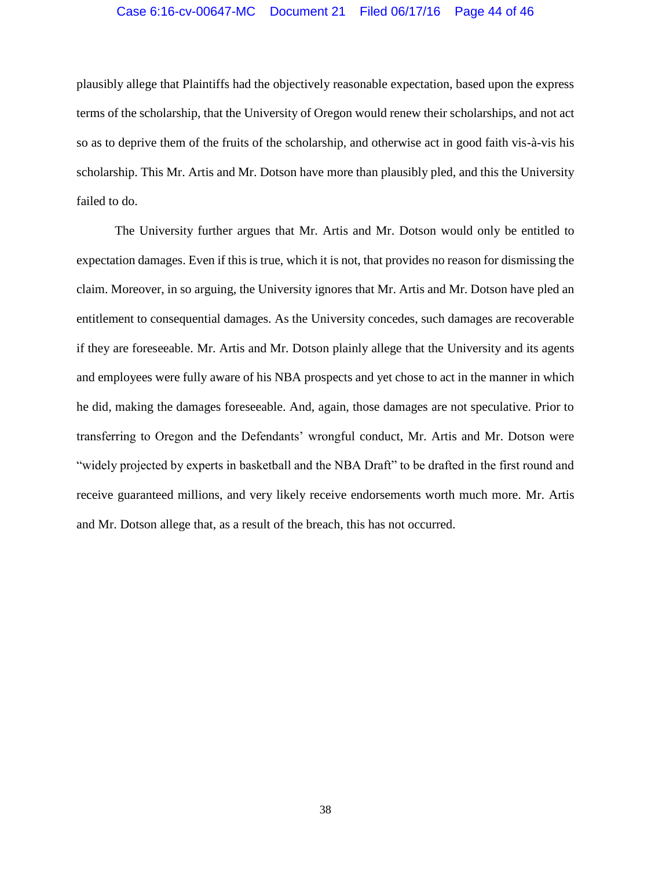### Case 6:16-cv-00647-MC Document 21 Filed 06/17/16 Page 44 of 46

plausibly allege that Plaintiffs had the objectively reasonable expectation, based upon the express terms of the scholarship, that the University of Oregon would renew their scholarships, and not act so as to deprive them of the fruits of the scholarship, and otherwise act in good faith vis-à-vis his scholarship. This Mr. Artis and Mr. Dotson have more than plausibly pled, and this the University failed to do.

The University further argues that Mr. Artis and Mr. Dotson would only be entitled to expectation damages. Even if this is true, which it is not, that provides no reason for dismissing the claim. Moreover, in so arguing, the University ignores that Mr. Artis and Mr. Dotson have pled an entitlement to consequential damages. As the University concedes, such damages are recoverable if they are foreseeable. Mr. Artis and Mr. Dotson plainly allege that the University and its agents and employees were fully aware of his NBA prospects and yet chose to act in the manner in which he did, making the damages foreseeable. And, again, those damages are not speculative. Prior to transferring to Oregon and the Defendants' wrongful conduct, Mr. Artis and Mr. Dotson were "widely projected by experts in basketball and the NBA Draft" to be drafted in the first round and receive guaranteed millions, and very likely receive endorsements worth much more. Mr. Artis and Mr. Dotson allege that, as a result of the breach, this has not occurred.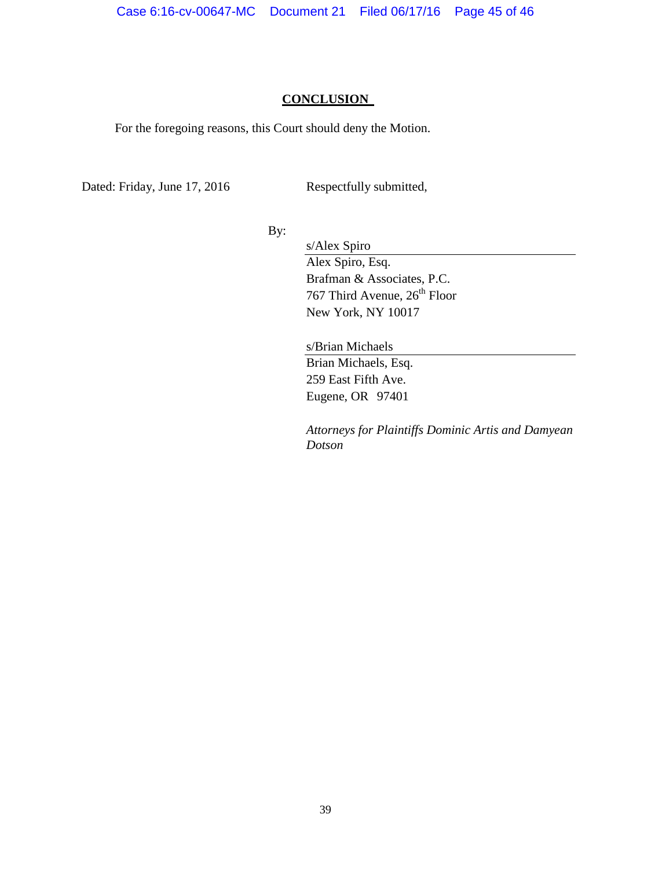# **CONCLUSION**

For the foregoing reasons, this Court should deny the Motion.

Dated: Friday, June 17, 2016 Respectfully submitted,

By:

s/Alex Spiro Alex Spiro, Esq. Brafman & Associates, P.C. 767 Third Avenue, 26<sup>th</sup> Floor New York, NY 10017

s/Brian Michaels Brian Michaels, Esq. 259 East Fifth Ave. Eugene, OR 97401

*Attorneys for Plaintiffs Dominic Artis and Damyean Dotson*